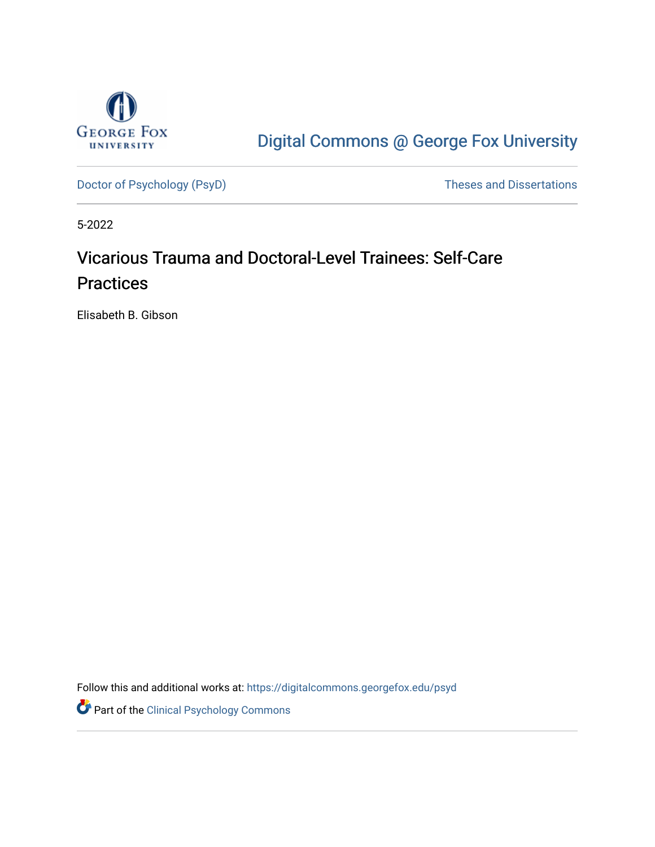

# [Digital Commons @ George Fox University](https://digitalcommons.georgefox.edu/)

[Doctor of Psychology \(PsyD\)](https://digitalcommons.georgefox.edu/psyd) and Dissertations of Psychology (PsyD)

5-2022

# Vicarious Trauma and Doctoral-Level Trainees: Self-Care **Practices**

Elisabeth B. Gibson

Follow this and additional works at: [https://digitalcommons.georgefox.edu/psyd](https://digitalcommons.georgefox.edu/psyd?utm_source=digitalcommons.georgefox.edu%2Fpsyd%2F438&utm_medium=PDF&utm_campaign=PDFCoverPages)

Part of the [Clinical Psychology Commons](https://network.bepress.com/hgg/discipline/406?utm_source=digitalcommons.georgefox.edu%2Fpsyd%2F438&utm_medium=PDF&utm_campaign=PDFCoverPages)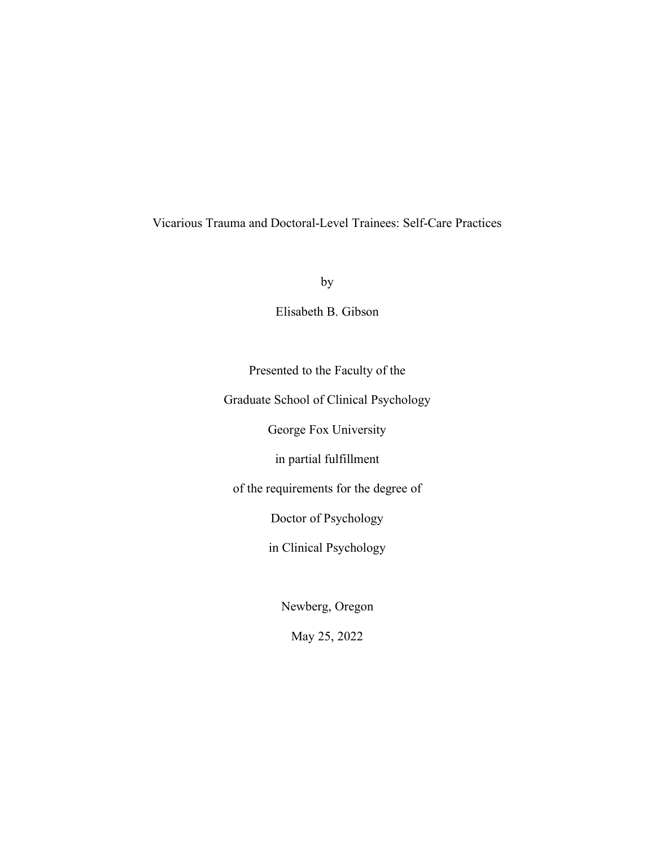## Vicarious Trauma and Doctoral-Level Trainees: Self-Care Practices

by

Elisabeth B. Gibson

Presented to the Faculty of the

Graduate School of Clinical Psychology

George Fox University

in partial fulfillment

of the requirements for the degree of

Doctor of Psychology

in Clinical Psychology

Newberg, Oregon

May 25, 2022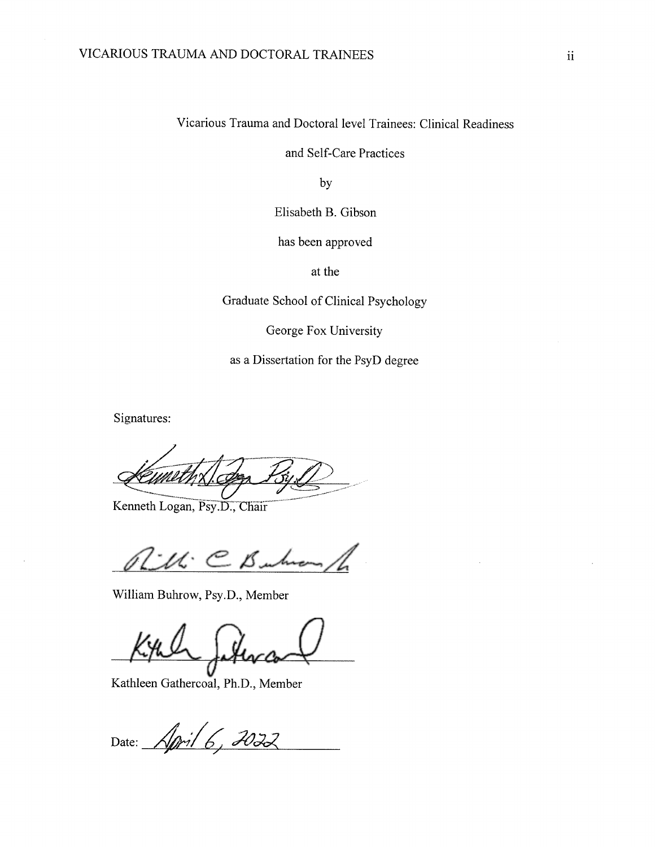Vicarious Trauma and Doctoral level Trainees: Clinical Readiness

and Self-Care Practices

by

Elisabeth B. Gibson

has been approved

at the

Graduate School of Clinical Psychology

George Fox University

as a Dissertation for the PsyD degree

Signatures:

Kenneth Logan, Psy.D., Chair

LM: C Buh

William Buhrow, Psy.D., Member

Kathleen Gathercoal, Ph.D., Member

Date: April 6, 2022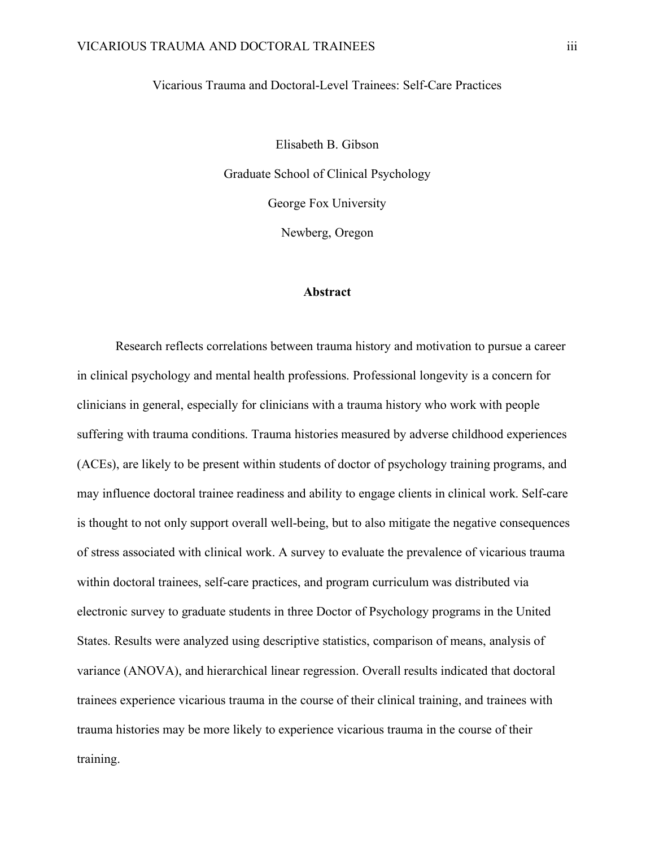Vicarious Trauma and Doctoral-Level Trainees: Self-Care Practices

Elisabeth B. Gibson Graduate School of Clinical Psychology George Fox University Newberg, Oregon

#### **Abstract**

Research reflects correlations between trauma history and motivation to pursue a career in clinical psychology and mental health professions. Professional longevity is a concern for clinicians in general, especially for clinicians with a trauma history who work with people suffering with trauma conditions. Trauma histories measured by adverse childhood experiences (ACEs), are likely to be present within students of doctor of psychology training programs, and may influence doctoral trainee readiness and ability to engage clients in clinical work. Self-care is thought to not only support overall well-being, but to also mitigate the negative consequences of stress associated with clinical work. A survey to evaluate the prevalence of vicarious trauma within doctoral trainees, self-care practices, and program curriculum was distributed via electronic survey to graduate students in three Doctor of Psychology programs in the United States. Results were analyzed using descriptive statistics, comparison of means, analysis of variance (ANOVA), and hierarchical linear regression. Overall results indicated that doctoral trainees experience vicarious trauma in the course of their clinical training, and trainees with trauma histories may be more likely to experience vicarious trauma in the course of their training.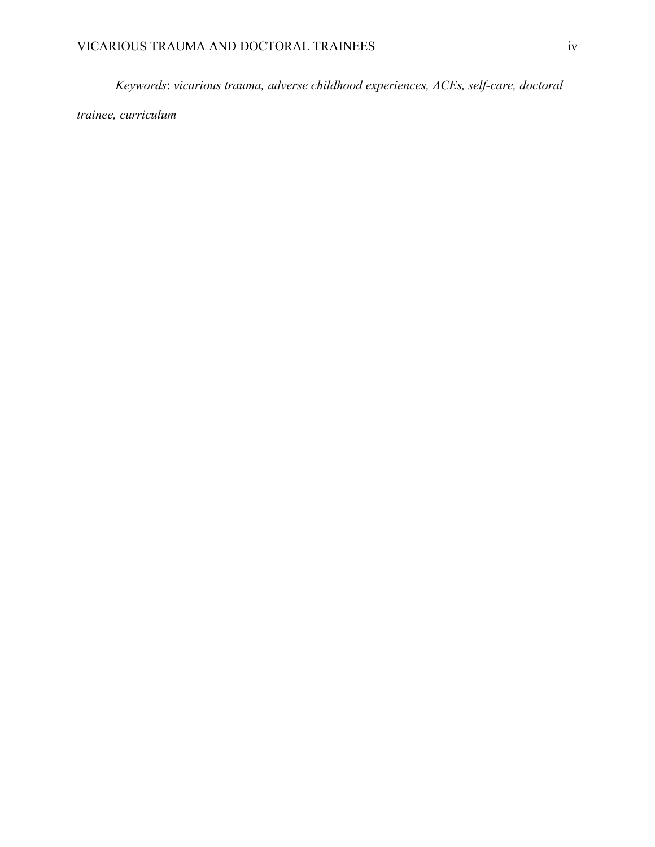*Keywords*: *vicarious trauma, adverse childhood experiences, ACEs, self-care, doctoral*

*trainee, curriculum*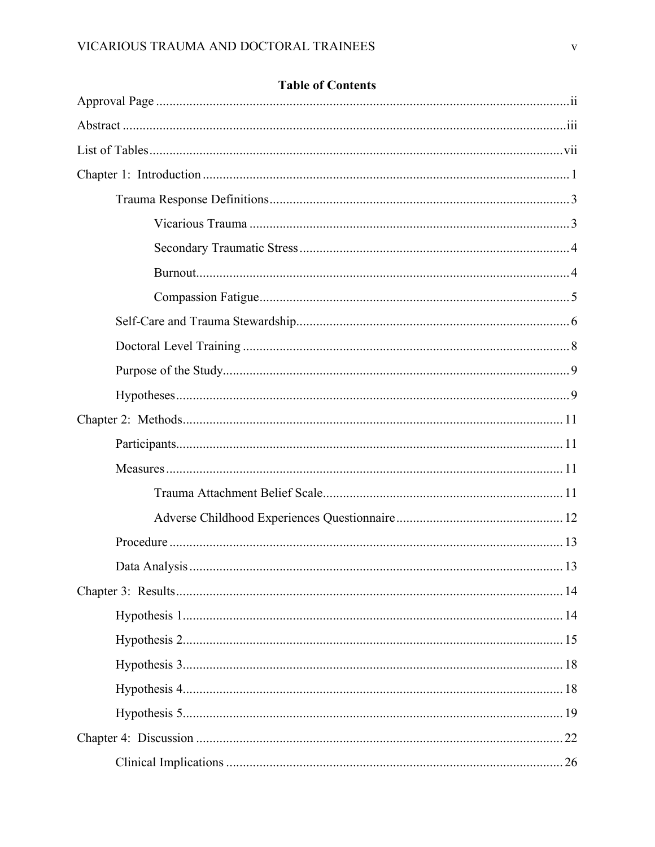## **Table of Contents**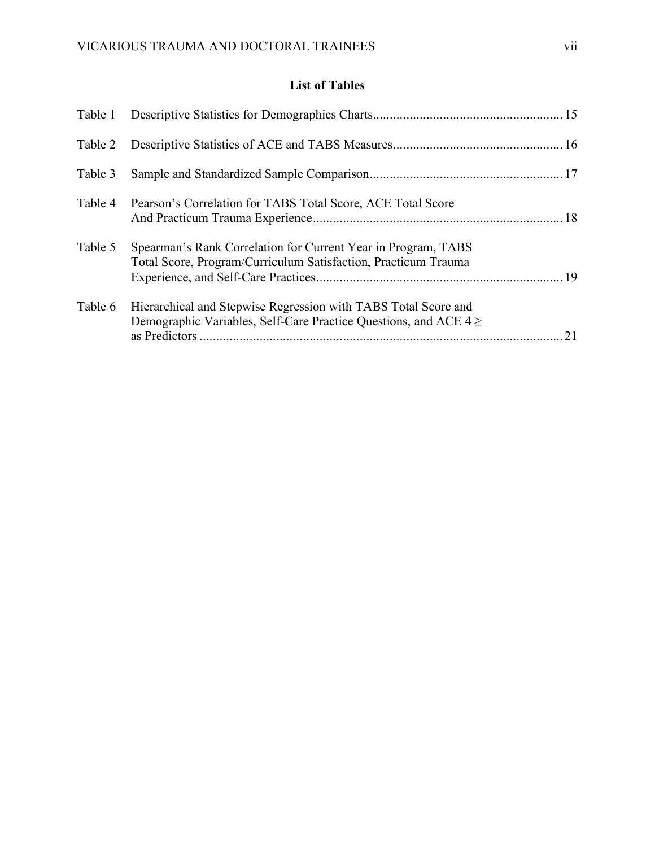## **List of Tables**

| Pearson's Correlation for TABS Total Score, ACE Total Score                                                                            |    |
|----------------------------------------------------------------------------------------------------------------------------------------|----|
| Spearman's Rank Correlation for Current Year in Program, TABS<br>Total Score, Program/Curriculum Satisfaction, Practicum Trauma        |    |
| Hierarchical and Stepwise Regression with TABS Total Score and<br>Demographic Variables, Self-Care Practice Questions, and ACE $4 \ge$ | 21 |
|                                                                                                                                        |    |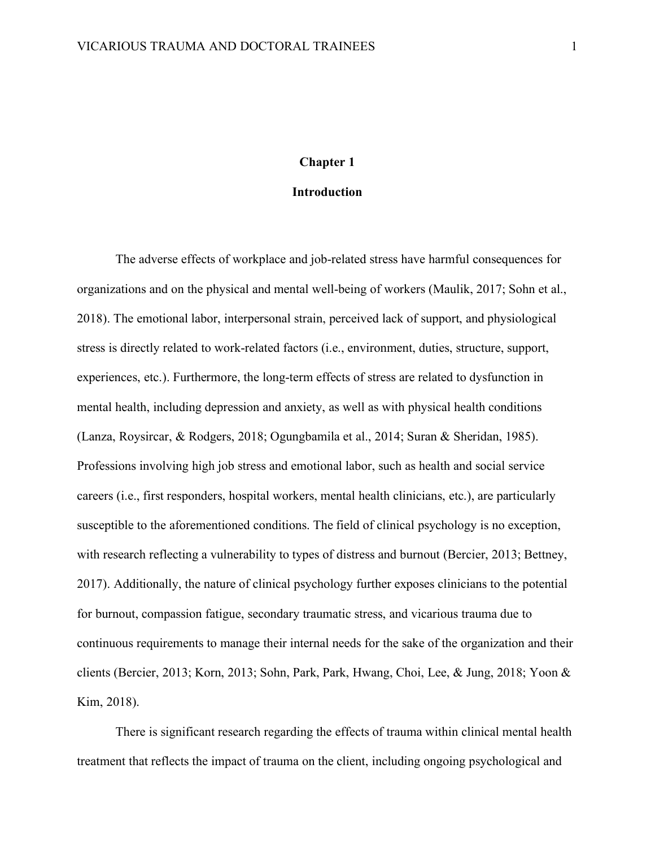#### **Chapter 1**

#### **Introduction**

The adverse effects of workplace and job-related stress have harmful consequences for organizations and on the physical and mental well-being of workers (Maulik, 2017; Sohn et al., 2018). The emotional labor, interpersonal strain, perceived lack of support, and physiological stress is directly related to work-related factors (i.e., environment, duties, structure, support, experiences, etc.). Furthermore, the long-term effects of stress are related to dysfunction in mental health, including depression and anxiety, as well as with physical health conditions (Lanza, Roysircar, & Rodgers, 2018; Ogungbamila et al., 2014; Suran & Sheridan, 1985). Professions involving high job stress and emotional labor, such as health and social service careers (i.e., first responders, hospital workers, mental health clinicians, etc.), are particularly susceptible to the aforementioned conditions. The field of clinical psychology is no exception, with research reflecting a vulnerability to types of distress and burnout (Bercier, 2013; Bettney, 2017). Additionally, the nature of clinical psychology further exposes clinicians to the potential for burnout, compassion fatigue, secondary traumatic stress, and vicarious trauma due to continuous requirements to manage their internal needs for the sake of the organization and their clients (Bercier, 2013; Korn, 2013; Sohn, Park, Park, Hwang, Choi, Lee, & Jung, 2018; Yoon & Kim, 2018).

There is significant research regarding the effects of trauma within clinical mental health treatment that reflects the impact of trauma on the client, including ongoing psychological and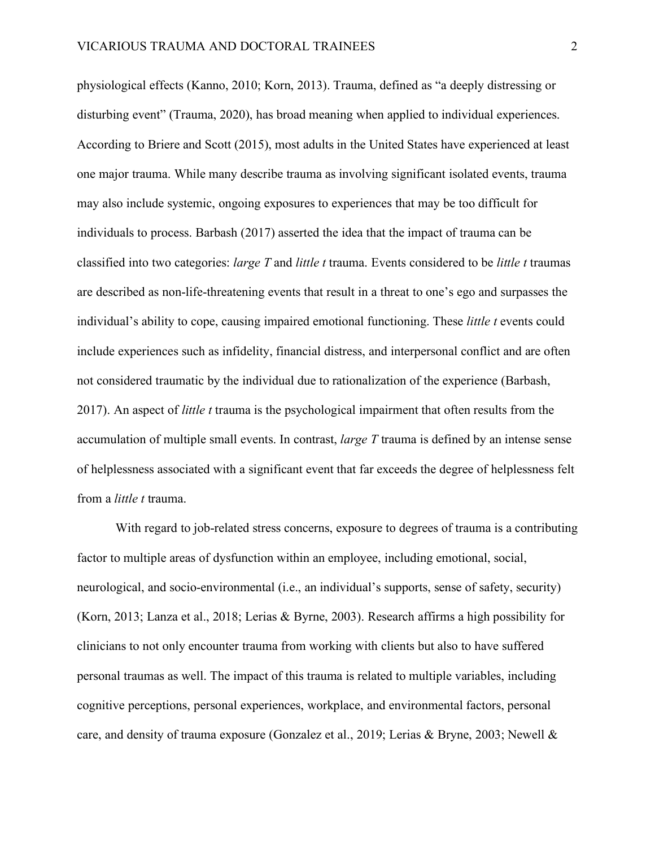physiological effects (Kanno, 2010; Korn, 2013). Trauma, defined as "a deeply distressing or disturbing event" (Trauma, 2020), has broad meaning when applied to individual experiences. According to Briere and Scott (2015), most adults in the United States have experienced at least one major trauma. While many describe trauma as involving significant isolated events, trauma may also include systemic, ongoing exposures to experiences that may be too difficult for individuals to process. Barbash (2017) asserted the idea that the impact of trauma can be classified into two categories: *large T* and *little t* trauma. Events considered to be *little t* traumas are described as non-life-threatening events that result in a threat to one's ego and surpasses the individual's ability to cope, causing impaired emotional functioning. These *little t* events could include experiences such as infidelity, financial distress, and interpersonal conflict and are often not considered traumatic by the individual due to rationalization of the experience (Barbash, 2017). An aspect of *little t* trauma is the psychological impairment that often results from the accumulation of multiple small events. In contrast, *large T* trauma is defined by an intense sense of helplessness associated with a significant event that far exceeds the degree of helplessness felt from a *little t* trauma.

With regard to job-related stress concerns, exposure to degrees of trauma is a contributing factor to multiple areas of dysfunction within an employee, including emotional, social, neurological, and socio-environmental (i.e., an individual's supports, sense of safety, security) (Korn, 2013; Lanza et al., 2018; Lerias & Byrne, 2003). Research affirms a high possibility for clinicians to not only encounter trauma from working with clients but also to have suffered personal traumas as well. The impact of this trauma is related to multiple variables, including cognitive perceptions, personal experiences, workplace, and environmental factors, personal care, and density of trauma exposure (Gonzalez et al., 2019; Lerias & Bryne, 2003; Newell &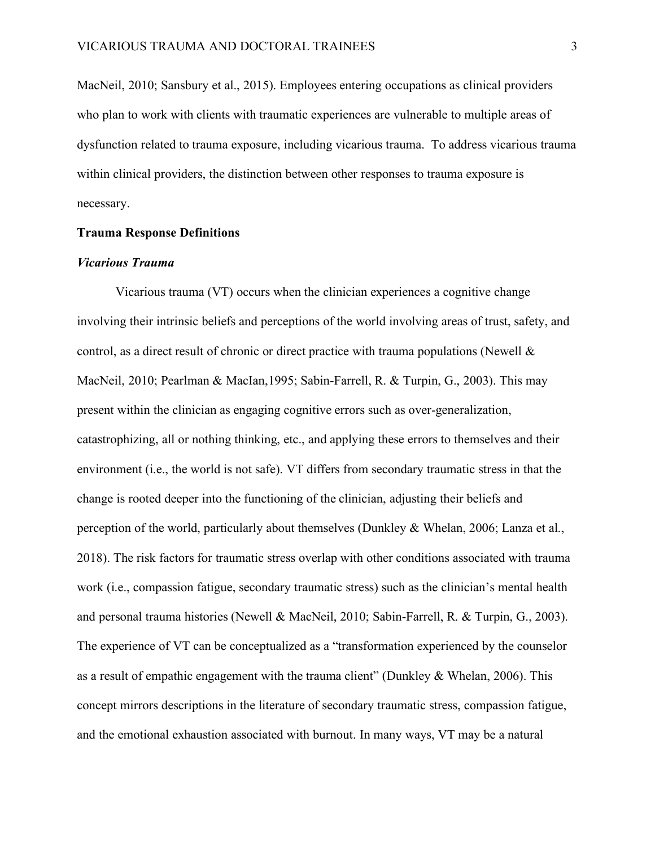MacNeil, 2010; Sansbury et al., 2015). Employees entering occupations as clinical providers who plan to work with clients with traumatic experiences are vulnerable to multiple areas of dysfunction related to trauma exposure, including vicarious trauma. To address vicarious trauma within clinical providers, the distinction between other responses to trauma exposure is necessary.

#### **Trauma Response Definitions**

#### *Vicarious Trauma*

Vicarious trauma (VT) occurs when the clinician experiences a cognitive change involving their intrinsic beliefs and perceptions of the world involving areas of trust, safety, and control, as a direct result of chronic or direct practice with trauma populations (Newell  $\&$ MacNeil, 2010; Pearlman & MacIan,1995; Sabin-Farrell, R. & Turpin, G., 2003). This may present within the clinician as engaging cognitive errors such as over-generalization, catastrophizing, all or nothing thinking, etc., and applying these errors to themselves and their environment (i.e., the world is not safe). VT differs from secondary traumatic stress in that the change is rooted deeper into the functioning of the clinician, adjusting their beliefs and perception of the world, particularly about themselves (Dunkley & Whelan, 2006; Lanza et al., 2018). The risk factors for traumatic stress overlap with other conditions associated with trauma work (i.e., compassion fatigue, secondary traumatic stress) such as the clinician's mental health and personal trauma histories (Newell & MacNeil, 2010; Sabin-Farrell, R. & Turpin, G., 2003). The experience of VT can be conceptualized as a "transformation experienced by the counselor as a result of empathic engagement with the trauma client" (Dunkley & Whelan, 2006). This concept mirrors descriptions in the literature of secondary traumatic stress, compassion fatigue, and the emotional exhaustion associated with burnout. In many ways, VT may be a natural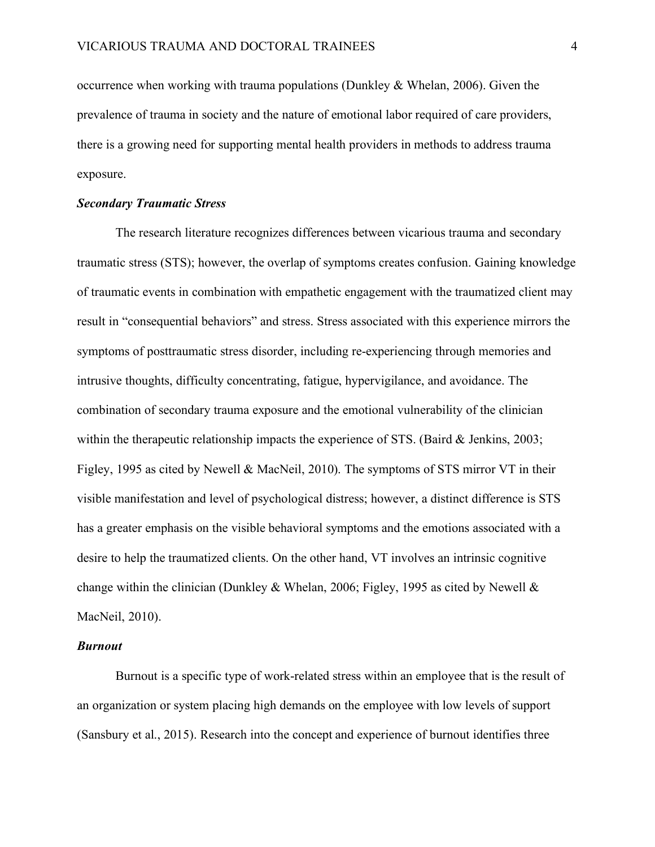occurrence when working with trauma populations (Dunkley & Whelan, 2006). Given the prevalence of trauma in society and the nature of emotional labor required of care providers, there is a growing need for supporting mental health providers in methods to address trauma exposure.

#### *Secondary Traumatic Stress*

The research literature recognizes differences between vicarious trauma and secondary traumatic stress (STS); however, the overlap of symptoms creates confusion. Gaining knowledge of traumatic events in combination with empathetic engagement with the traumatized client may result in "consequential behaviors" and stress. Stress associated with this experience mirrors the symptoms of posttraumatic stress disorder, including re-experiencing through memories and intrusive thoughts, difficulty concentrating, fatigue, hypervigilance, and avoidance. The combination of secondary trauma exposure and the emotional vulnerability of the clinician within the therapeutic relationship impacts the experience of STS. (Baird & Jenkins, 2003; Figley, 1995 as cited by Newell & MacNeil, 2010). The symptoms of STS mirror VT in their visible manifestation and level of psychological distress; however, a distinct difference is STS has a greater emphasis on the visible behavioral symptoms and the emotions associated with a desire to help the traumatized clients. On the other hand, VT involves an intrinsic cognitive change within the clinician (Dunkley & Whelan, 2006; Figley, 1995 as cited by Newell & MacNeil, 2010).

#### *Burnout*

Burnout is a specific type of work-related stress within an employee that is the result of an organization or system placing high demands on the employee with low levels of support (Sansbury et al., 2015). Research into the concept and experience of burnout identifies three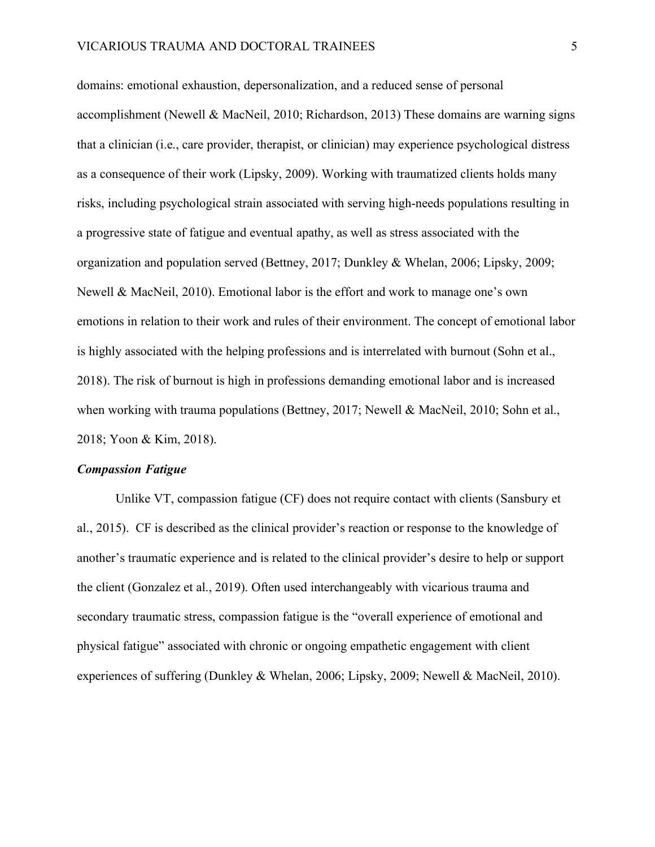domains: emotional exhaustion, depersonalization, and a reduced sense of personal accomplishment (Newell & MacNeil, 2010; Richardson, 2013) These domains are warning signs that a clinician (i.e., care provider, therapist, or clinician) may experience psychological distress as a consequence of their work (Lipsky, 2009). Working with traumatized clients holds many risks, including psychological strain associated with serving high-needs populations resulting in a progressive state of fatigue and eventual apathy, as well as stress associated with the organization and population served (Bettney, 2017; Dunkley & Whelan, 2006; Lipsky, 2009; Newell & MacNeil, 2010). Emotional labor is the effort and work to manage one's own emotions in relation to their work and rules of their environment. The concept of emotional labor is highly associated with the helping professions and is interrelated with burnout (Sohn et al., 2018). The risk of burnout is high in professions demanding emotional labor and is increased when working with trauma populations (Bettney, 2017; Newell & MacNeil, 2010; Sohn et al., 2018; Yoon & Kim, 2018).

#### *Compassion Fatigue*

Unlike VT, compassion fatigue (CF) does not require contact with clients (Sansbury et al., 2015). CF is described as the clinical provider's reaction or response to the knowledge of another's traumatic experience and is related to the clinical provider's desire to help or support the client (Gonzalez et al., 2019). Often used interchangeably with vicarious trauma and secondary traumatic stress, compassion fatigue is the "overall experience of emotional and physical fatigue" associated with chronic or ongoing empathetic engagement with client experiences of suffering (Dunkley & Whelan, 2006; Lipsky, 2009; Newell & MacNeil, 2010).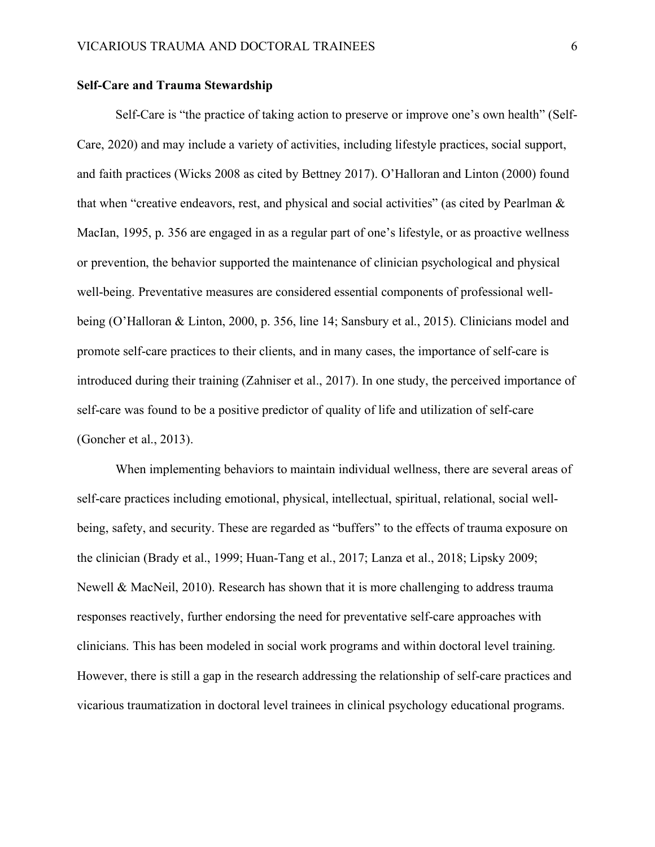#### **Self-Care and Trauma Stewardship**

Self-Care is "the practice of taking action to preserve or improve one's own health" (Self-Care, 2020) and may include a variety of activities, including lifestyle practices, social support, and faith practices (Wicks 2008 as cited by Bettney 2017). O'Halloran and Linton (2000) found that when "creative endeavors, rest, and physical and social activities" (as cited by Pearlman & MacIan, 1995, p. 356 are engaged in as a regular part of one's lifestyle, or as proactive wellness or prevention, the behavior supported the maintenance of clinician psychological and physical well-being. Preventative measures are considered essential components of professional wellbeing (O'Halloran & Linton, 2000, p. 356, line 14; Sansbury et al., 2015). Clinicians model and promote self-care practices to their clients, and in many cases, the importance of self-care is introduced during their training (Zahniser et al., 2017). In one study, the perceived importance of self-care was found to be a positive predictor of quality of life and utilization of self-care (Goncher et al., 2013).

When implementing behaviors to maintain individual wellness, there are several areas of self-care practices including emotional, physical, intellectual, spiritual, relational, social wellbeing, safety, and security. These are regarded as "buffers" to the effects of trauma exposure on the clinician (Brady et al., 1999; Huan-Tang et al., 2017; Lanza et al., 2018; Lipsky 2009; Newell & MacNeil, 2010). Research has shown that it is more challenging to address trauma responses reactively, further endorsing the need for preventative self-care approaches with clinicians. This has been modeled in social work programs and within doctoral level training. However, there is still a gap in the research addressing the relationship of self-care practices and vicarious traumatization in doctoral level trainees in clinical psychology educational programs.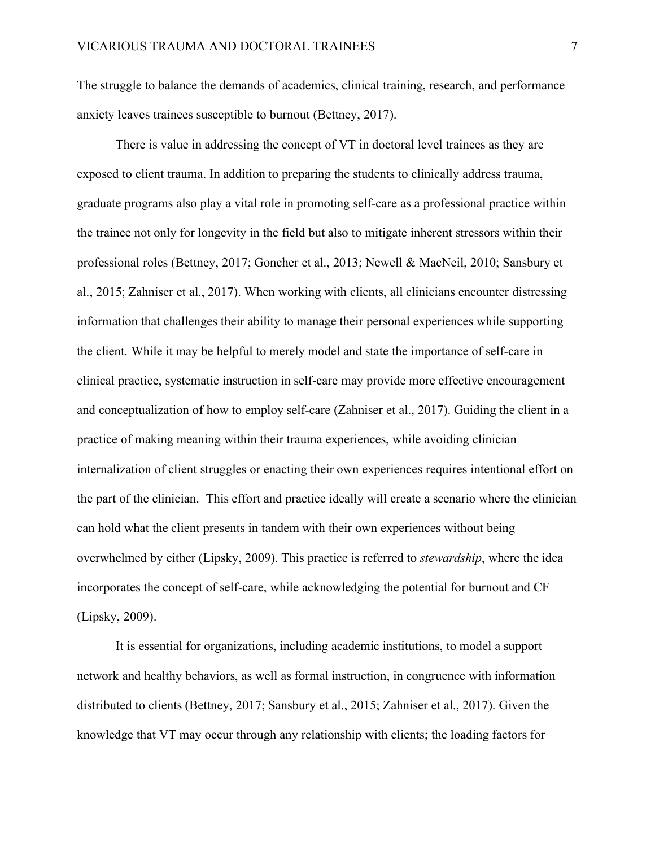The struggle to balance the demands of academics, clinical training, research, and performance anxiety leaves trainees susceptible to burnout (Bettney, 2017).

There is value in addressing the concept of VT in doctoral level trainees as they are exposed to client trauma. In addition to preparing the students to clinically address trauma, graduate programs also play a vital role in promoting self-care as a professional practice within the trainee not only for longevity in the field but also to mitigate inherent stressors within their professional roles (Bettney, 2017; Goncher et al., 2013; Newell & MacNeil, 2010; Sansbury et al., 2015; Zahniser et al., 2017). When working with clients, all clinicians encounter distressing information that challenges their ability to manage their personal experiences while supporting the client. While it may be helpful to merely model and state the importance of self-care in clinical practice, systematic instruction in self-care may provide more effective encouragement and conceptualization of how to employ self-care (Zahniser et al., 2017). Guiding the client in a practice of making meaning within their trauma experiences, while avoiding clinician internalization of client struggles or enacting their own experiences requires intentional effort on the part of the clinician. This effort and practice ideally will create a scenario where the clinician can hold what the client presents in tandem with their own experiences without being overwhelmed by either (Lipsky, 2009). This practice is referred to *stewardship*, where the idea incorporates the concept of self-care, while acknowledging the potential for burnout and CF (Lipsky, 2009).

It is essential for organizations, including academic institutions, to model a support network and healthy behaviors, as well as formal instruction, in congruence with information distributed to clients (Bettney, 2017; Sansbury et al., 2015; Zahniser et al., 2017). Given the knowledge that VT may occur through any relationship with clients; the loading factors for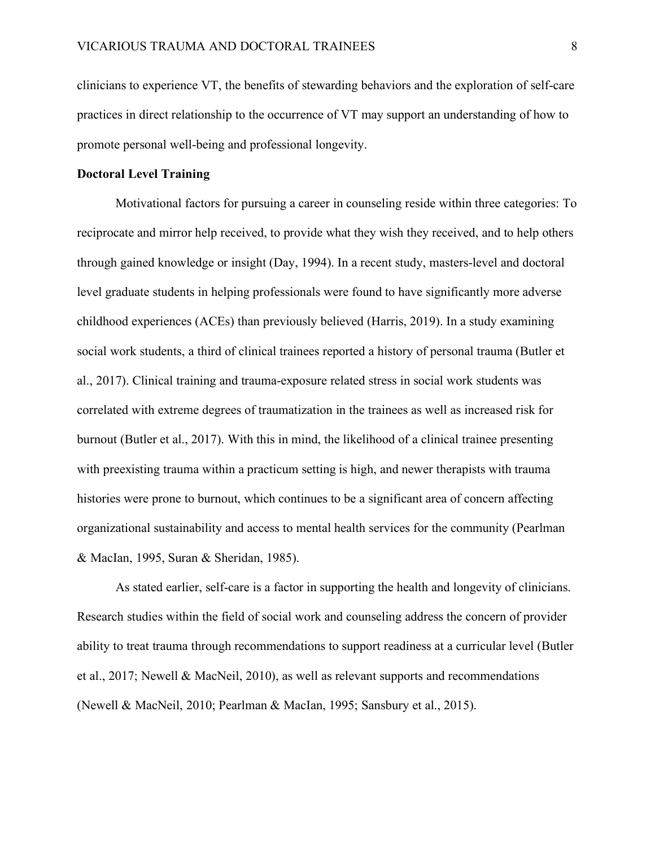clinicians to experience VT, the benefits of stewarding behaviors and the exploration of self-care practices in direct relationship to the occurrence of VT may support an understanding of how to promote personal well-being and professional longevity.

#### **Doctoral Level Training**

Motivational factors for pursuing a career in counseling reside within three categories: To reciprocate and mirror help received, to provide what they wish they received, and to help others through gained knowledge or insight (Day, 1994). In a recent study, masters-level and doctoral level graduate students in helping professionals were found to have significantly more adverse childhood experiences (ACEs) than previously believed (Harris, 2019). In a study examining social work students, a third of clinical trainees reported a history of personal trauma (Butler et al., 2017). Clinical training and trauma-exposure related stress in social work students was correlated with extreme degrees of traumatization in the trainees as well as increased risk for burnout (Butler et al., 2017). With this in mind, the likelihood of a clinical trainee presenting with preexisting trauma within a practicum setting is high, and newer therapists with trauma histories were prone to burnout, which continues to be a significant area of concern affecting organizational sustainability and access to mental health services for the community (Pearlman & MacIan, 1995, Suran & Sheridan, 1985).

As stated earlier, self-care is a factor in supporting the health and longevity of clinicians. Research studies within the field of social work and counseling address the concern of provider ability to treat trauma through recommendations to support readiness at a curricular level (Butler et al., 2017; Newell & MacNeil, 2010), as well as relevant supports and recommendations (Newell & MacNeil, 2010; Pearlman & MacIan, 1995; Sansbury et al., 2015).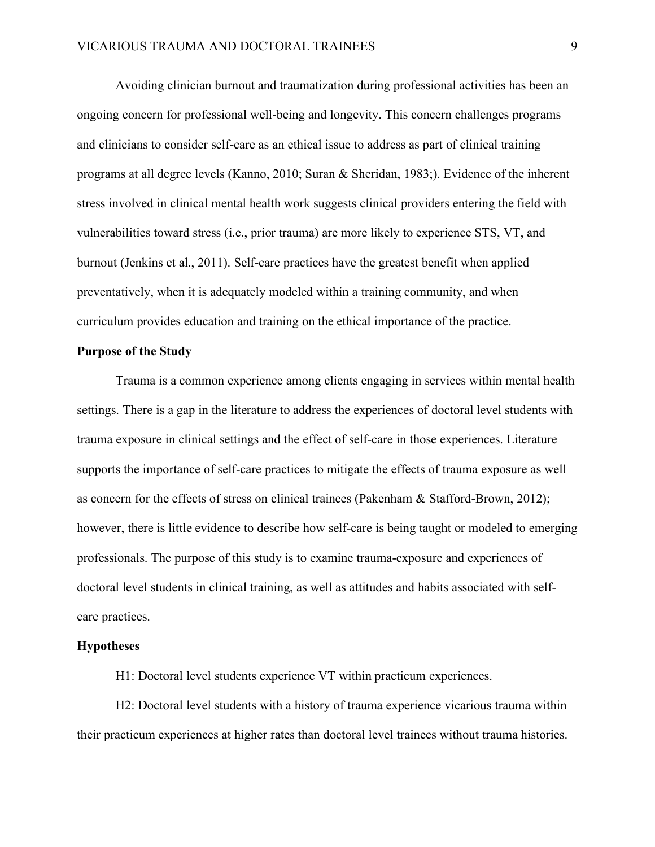Avoiding clinician burnout and traumatization during professional activities has been an ongoing concern for professional well-being and longevity. This concern challenges programs and clinicians to consider self-care as an ethical issue to address as part of clinical training programs at all degree levels (Kanno, 2010; Suran & Sheridan, 1983;). Evidence of the inherent stress involved in clinical mental health work suggests clinical providers entering the field with vulnerabilities toward stress (i.e., prior trauma) are more likely to experience STS, VT, and burnout (Jenkins et al., 2011). Self-care practices have the greatest benefit when applied preventatively, when it is adequately modeled within a training community, and when curriculum provides education and training on the ethical importance of the practice.

#### **Purpose of the Study**

Trauma is a common experience among clients engaging in services within mental health settings. There is a gap in the literature to address the experiences of doctoral level students with trauma exposure in clinical settings and the effect of self-care in those experiences. Literature supports the importance of self-care practices to mitigate the effects of trauma exposure as well as concern for the effects of stress on clinical trainees (Pakenham & Stafford-Brown, 2012); however, there is little evidence to describe how self-care is being taught or modeled to emerging professionals. The purpose of this study is to examine trauma-exposure and experiences of doctoral level students in clinical training, as well as attitudes and habits associated with selfcare practices.

#### **Hypotheses**

H1: Doctoral level students experience VT within practicum experiences.

H2: Doctoral level students with a history of trauma experience vicarious trauma within their practicum experiences at higher rates than doctoral level trainees without trauma histories.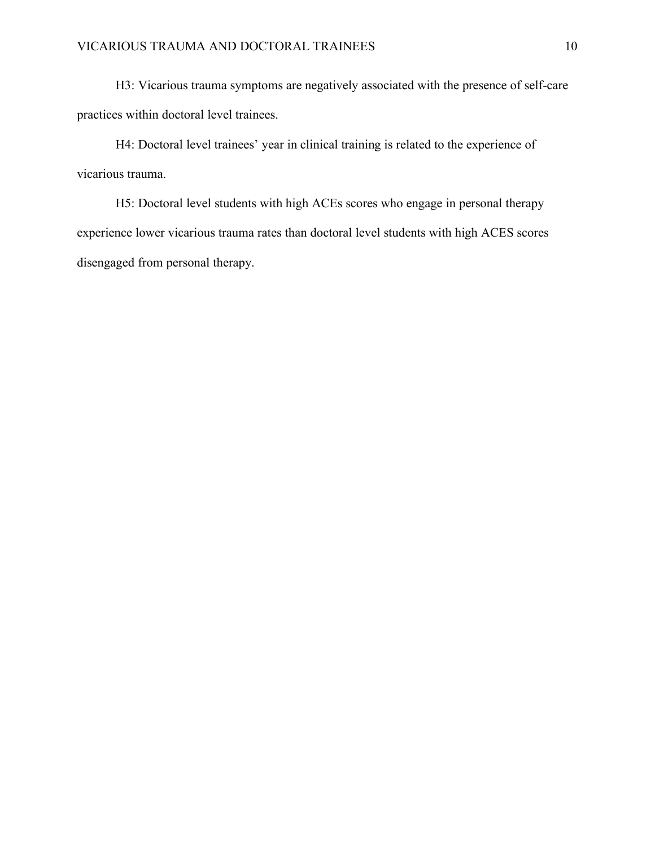H3: Vicarious trauma symptoms are negatively associated with the presence of self-care practices within doctoral level trainees.

H4: Doctoral level trainees' year in clinical training is related to the experience of vicarious trauma.

H5: Doctoral level students with high ACEs scores who engage in personal therapy experience lower vicarious trauma rates than doctoral level students with high ACES scores disengaged from personal therapy.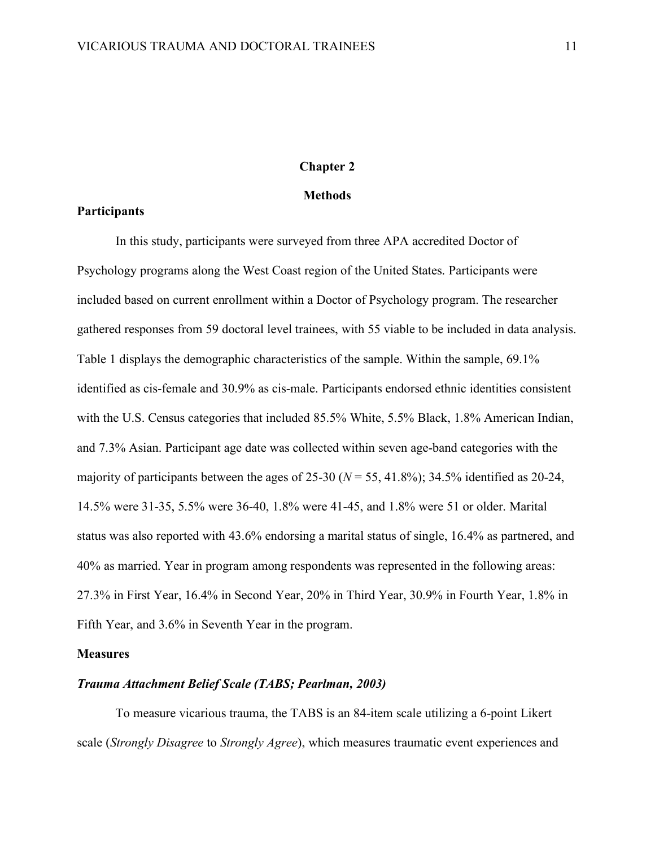#### **Chapter 2**

#### **Methods**

#### **Participants**

In this study, participants were surveyed from three APA accredited Doctor of Psychology programs along the West Coast region of the United States. Participants were included based on current enrollment within a Doctor of Psychology program. The researcher gathered responses from 59 doctoral level trainees, with 55 viable to be included in data analysis. Table 1 displays the demographic characteristics of the sample. Within the sample, 69.1% identified as cis-female and 30.9% as cis-male. Participants endorsed ethnic identities consistent with the U.S. Census categories that included 85.5% White, 5.5% Black, 1.8% American Indian, and 7.3% Asian. Participant age date was collected within seven age-band categories with the majority of participants between the ages of  $25-30$  ( $N = 55$ ,  $41.8\%$ ); 34.5% identified as  $20-24$ , 14.5% were 31-35, 5.5% were 36-40, 1.8% were 41-45, and 1.8% were 51 or older. Marital status was also reported with 43.6% endorsing a marital status of single, 16.4% as partnered, and 40% as married. Year in program among respondents was represented in the following areas: 27.3% in First Year, 16.4% in Second Year, 20% in Third Year, 30.9% in Fourth Year, 1.8% in Fifth Year, and 3.6% in Seventh Year in the program.

#### **Measures**

#### *Trauma Attachment Belief Scale (TABS; Pearlman, 2003)*

To measure vicarious trauma, the TABS is an 84-item scale utilizing a 6-point Likert scale (*Strongly Disagree* to *Strongly Agree*), which measures traumatic event experiences and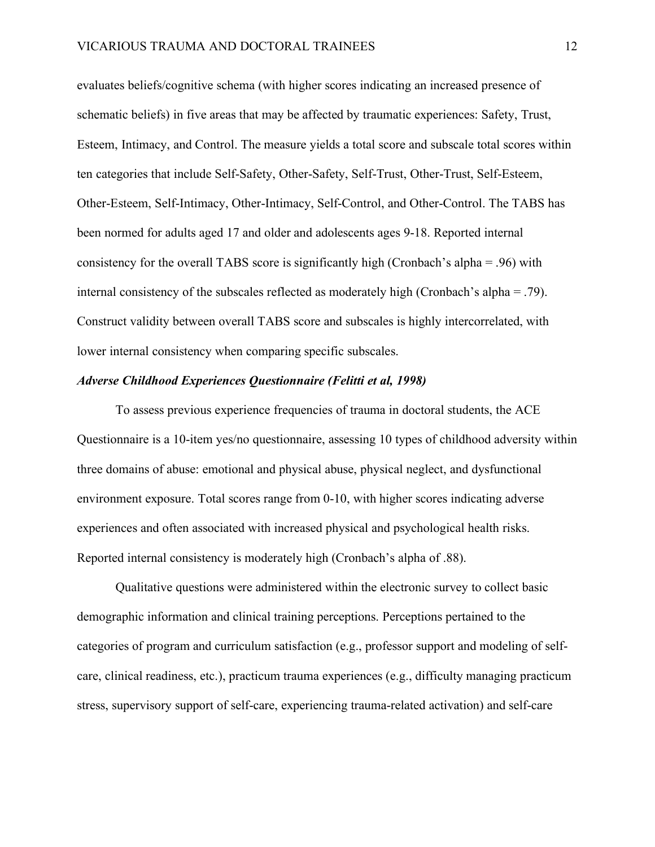evaluates beliefs/cognitive schema (with higher scores indicating an increased presence of schematic beliefs) in five areas that may be affected by traumatic experiences: Safety, Trust, Esteem, Intimacy, and Control. The measure yields a total score and subscale total scores within ten categories that include Self-Safety, Other-Safety, Self-Trust, Other-Trust, Self-Esteem, Other-Esteem, Self-Intimacy, Other-Intimacy, Self-Control, and Other-Control. The TABS has been normed for adults aged 17 and older and adolescents ages 9-18. Reported internal consistency for the overall TABS score is significantly high (Cronbach's alpha = .96) with internal consistency of the subscales reflected as moderately high (Cronbach's alpha = .79). Construct validity between overall TABS score and subscales is highly intercorrelated, with lower internal consistency when comparing specific subscales.

#### *Adverse Childhood Experiences Questionnaire (Felitti et al, 1998)*

To assess previous experience frequencies of trauma in doctoral students, the ACE Questionnaire is a 10-item yes/no questionnaire, assessing 10 types of childhood adversity within three domains of abuse: emotional and physical abuse, physical neglect, and dysfunctional environment exposure. Total scores range from 0-10, with higher scores indicating adverse experiences and often associated with increased physical and psychological health risks. Reported internal consistency is moderately high (Cronbach's alpha of .88).

Qualitative questions were administered within the electronic survey to collect basic demographic information and clinical training perceptions. Perceptions pertained to the categories of program and curriculum satisfaction (e.g., professor support and modeling of selfcare, clinical readiness, etc.), practicum trauma experiences (e.g., difficulty managing practicum stress, supervisory support of self-care, experiencing trauma-related activation) and self-care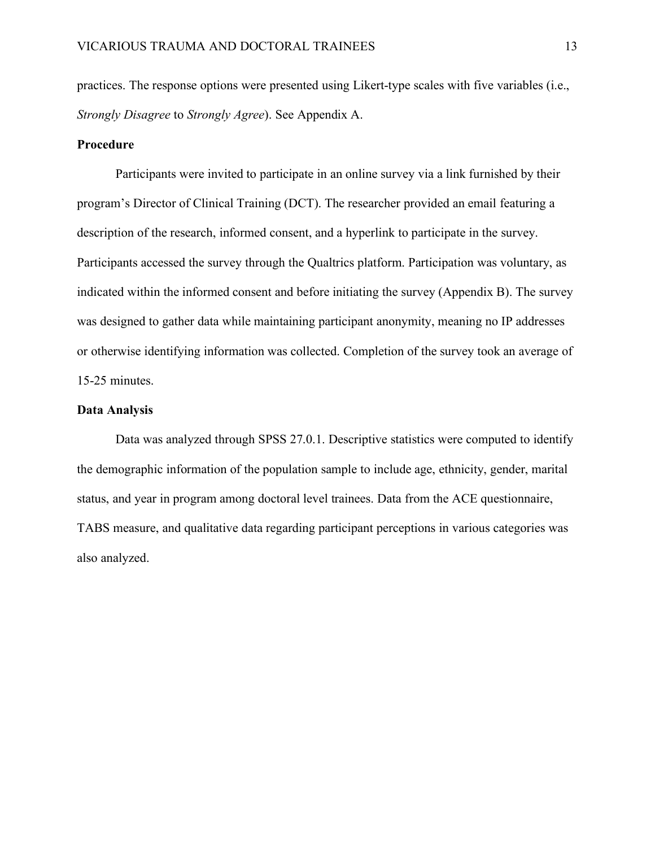practices. The response options were presented using Likert-type scales with five variables (i.e., *Strongly Disagree* to *Strongly Agree*). See Appendix A.

#### **Procedure**

Participants were invited to participate in an online survey via a link furnished by their program's Director of Clinical Training (DCT). The researcher provided an email featuring a description of the research, informed consent, and a hyperlink to participate in the survey. Participants accessed the survey through the Qualtrics platform. Participation was voluntary, as indicated within the informed consent and before initiating the survey (Appendix B). The survey was designed to gather data while maintaining participant anonymity, meaning no IP addresses or otherwise identifying information was collected. Completion of the survey took an average of 15-25 minutes.

#### **Data Analysis**

Data was analyzed through SPSS 27.0.1. Descriptive statistics were computed to identify the demographic information of the population sample to include age, ethnicity, gender, marital status, and year in program among doctoral level trainees. Data from the ACE questionnaire, TABS measure, and qualitative data regarding participant perceptions in various categories was also analyzed.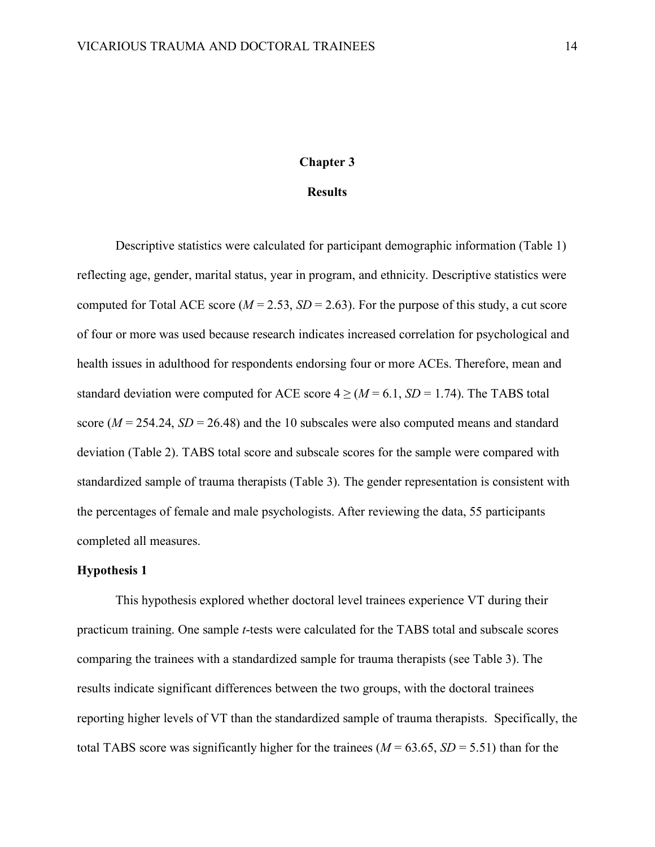#### **Chapter 3**

#### **Results**

Descriptive statistics were calculated for participant demographic information (Table 1) reflecting age, gender, marital status, year in program, and ethnicity. Descriptive statistics were computed for Total ACE score ( $M = 2.53$ ,  $SD = 2.63$ ). For the purpose of this study, a cut score of four or more was used because research indicates increased correlation for psychological and health issues in adulthood for respondents endorsing four or more ACEs. Therefore, mean and standard deviation were computed for ACE score  $4 \geq (M = 6.1, SD = 1.74)$ . The TABS total score ( $M = 254.24$ ,  $SD = 26.48$ ) and the 10 subscales were also computed means and standard deviation (Table 2). TABS total score and subscale scores for the sample were compared with standardized sample of trauma therapists (Table 3). The gender representation is consistent with the percentages of female and male psychologists. After reviewing the data, 55 participants completed all measures.

#### **Hypothesis 1**

This hypothesis explored whether doctoral level trainees experience VT during their practicum training. One sample *t*-tests were calculated for the TABS total and subscale scores comparing the trainees with a standardized sample for trauma therapists (see Table 3). The results indicate significant differences between the two groups, with the doctoral trainees reporting higher levels of VT than the standardized sample of trauma therapists. Specifically, the total TABS score was significantly higher for the trainees ( $M = 63.65$ ,  $SD = 5.51$ ) than for the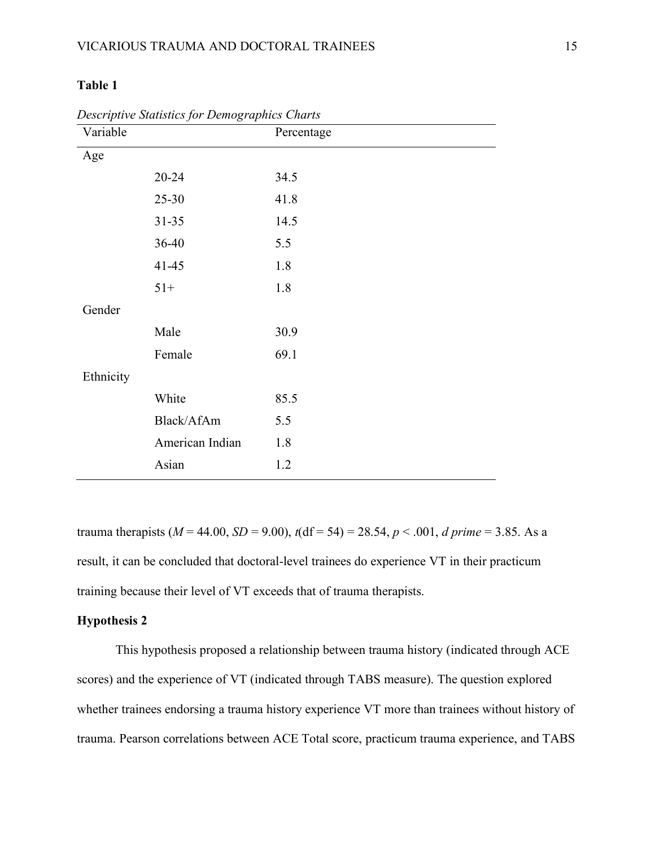| Variable  |                 | Percentage |
|-----------|-----------------|------------|
| Age       |                 |            |
|           | $20 - 24$       | 34.5       |
|           | 25-30           | 41.8       |
|           | $31 - 35$       | 14.5       |
|           | 36-40           | 5.5        |
|           | $41 - 45$       | 1.8        |
|           | $51+$           | 1.8        |
| Gender    |                 |            |
|           | Male            | 30.9       |
|           | Female          | 69.1       |
| Ethnicity |                 |            |
|           | White           | 85.5       |
|           | Black/AfAm      | 5.5        |
|           | American Indian | 1.8        |
|           | Asian           | 1.2        |

*Descriptive Statistics for Demographics Charts*

trauma therapists ( $M = 44.00$ ,  $SD = 9.00$ ),  $t(df = 54) = 28.54$ ,  $p < .001$ , *d prime* = 3.85. As a result, it can be concluded that doctoral-level trainees do experience VT in their practicum training because their level of VT exceeds that of trauma therapists.

#### **Hypothesis 2**

This hypothesis proposed a relationship between trauma history (indicated through ACE scores) and the experience of VT (indicated through TABS measure). The question explored whether trainees endorsing a trauma history experience VT more than trainees without history of trauma. Pearson correlations between ACE Total score, practicum trauma experience, and TABS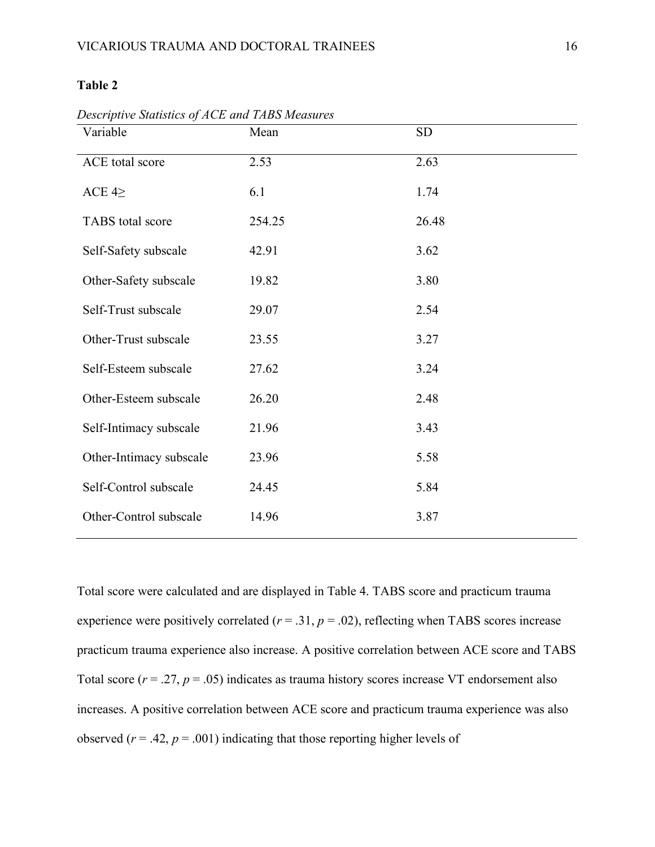| Variable                | Mean   | <b>SD</b> |
|-------------------------|--------|-----------|
| ACE total score         | 2.53   | 2.63      |
| ACE $4\geq$             | 6.1    | 1.74      |
| TABS total score        | 254.25 | 26.48     |
| Self-Safety subscale    | 42.91  | 3.62      |
| Other-Safety subscale   | 19.82  | 3.80      |
| Self-Trust subscale     | 29.07  | 2.54      |
| Other-Trust subscale    | 23.55  | 3.27      |
| Self-Esteem subscale    | 27.62  | 3.24      |
| Other-Esteem subscale   | 26.20  | 2.48      |
| Self-Intimacy subscale  | 21.96  | 3.43      |
| Other-Intimacy subscale | 23.96  | 5.58      |
| Self-Control subscale   | 24.45  | 5.84      |
| Other-Control subscale  | 14.96  | 3.87      |

*Descriptive Statistics of ACE and TABS Measures*

Total score were calculated and are displayed in Table 4. TABS score and practicum trauma experience were positively correlated  $(r = .31, p = .02)$ , reflecting when TABS scores increase practicum trauma experience also increase. A positive correlation between ACE score and TABS Total score  $(r = .27, p = .05)$  indicates as trauma history scores increase VT endorsement also increases. A positive correlation between ACE score and practicum trauma experience was also observed ( $r = .42$ ,  $p = .001$ ) indicating that those reporting higher levels of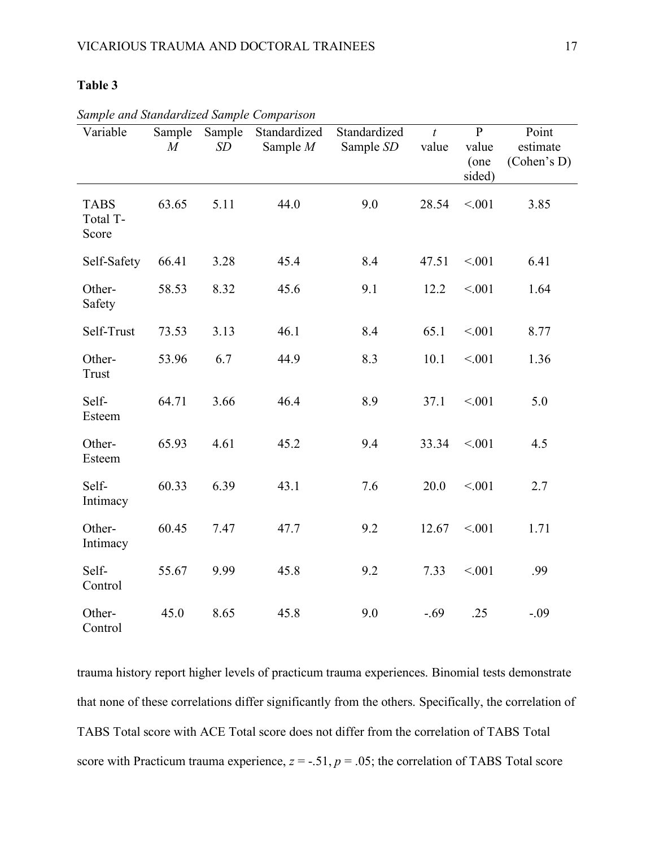| Variable                         | Sample<br>$\overline{M}$ | Sample<br>SD | Standardized<br>Sample $M$ | Standardized<br>Sample SD | $\boldsymbol{t}$<br>value | $\mathbf{P}$<br>value<br>(one<br>sided) | Point<br>estimate<br>(Cohen's D) |
|----------------------------------|--------------------------|--------------|----------------------------|---------------------------|---------------------------|-----------------------------------------|----------------------------------|
| <b>TABS</b><br>Total T-<br>Score | 63.65                    | 5.11         | 44.0                       | 9.0                       | 28.54                     | < 001                                   | 3.85                             |
| Self-Safety                      | 66.41                    | 3.28         | 45.4                       | 8.4                       | 47.51                     | < 001                                   | 6.41                             |
| Other-<br>Safety                 | 58.53                    | 8.32         | 45.6                       | 9.1                       | 12.2                      | < 001                                   | 1.64                             |
| Self-Trust                       | 73.53                    | 3.13         | 46.1                       | 8.4                       | 65.1                      | < 001                                   | 8.77                             |
| Other-<br>Trust                  | 53.96                    | 6.7          | 44.9                       | 8.3                       | 10.1                      | < 001                                   | 1.36                             |
| Self-<br>Esteem                  | 64.71                    | 3.66         | 46.4                       | 8.9                       | 37.1                      | < 0.01                                  | 5.0                              |
| Other-<br>Esteem                 | 65.93                    | 4.61         | 45.2                       | 9.4                       | 33.34                     | < 001                                   | 4.5                              |
| Self-<br>Intimacy                | 60.33                    | 6.39         | 43.1                       | 7.6                       | 20.0                      | < 0.01                                  | 2.7                              |
| Other-<br>Intimacy               | 60.45                    | 7.47         | 47.7                       | 9.2                       | 12.67                     | < 001                                   | 1.71                             |
| Self-<br>Control                 | 55.67                    | 9.99         | 45.8                       | 9.2                       | 7.33                      | < 0.01                                  | .99                              |
| Other-<br>Control                | 45.0                     | 8.65         | 45.8                       | 9.0                       | $-.69$                    | .25                                     | $-.09$                           |

*Sample and Standardized Sample Comparison*

trauma history report higher levels of practicum trauma experiences. Binomial tests demonstrate that none of these correlations differ significantly from the others. Specifically, the correlation of TABS Total score with ACE Total score does not differ from the correlation of TABS Total score with Practicum trauma experience,  $z = -.51$ ,  $p = .05$ ; the correlation of TABS Total score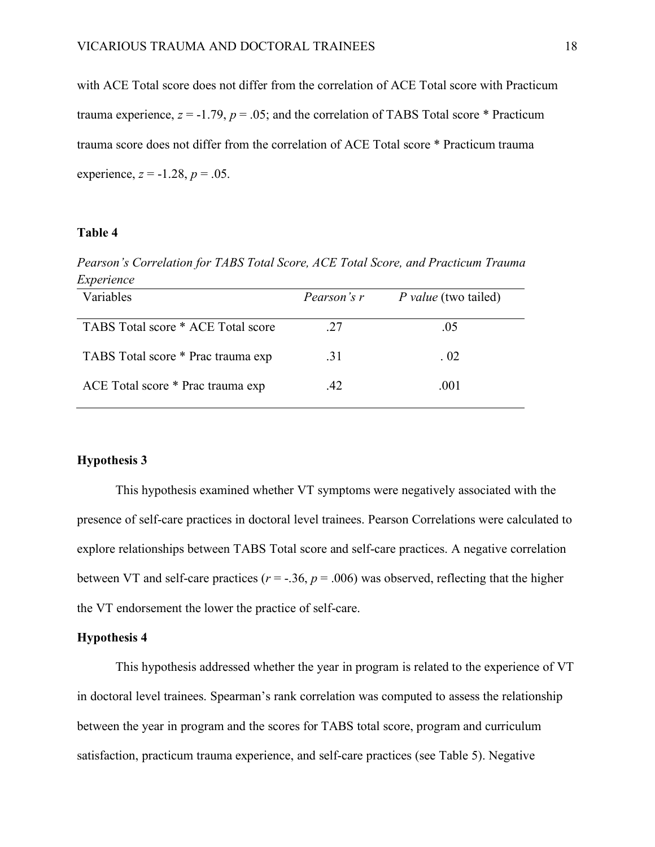with ACE Total score does not differ from the correlation of ACE Total score with Practicum trauma experience,  $z = -1.79$ ,  $p = .05$ ; and the correlation of TABS Total score \* Practicum trauma score does not differ from the correlation of ACE Total score \* Practicum trauma experience,  $z = -1.28$ ,  $p = .05$ .

#### **Table 4**

*Pearson's Correlation for TABS Total Score, ACE Total Score, and Practicum Trauma Experience*

| Variables                          | Pearson's r | <i>P</i> value (two tailed) |
|------------------------------------|-------------|-----------------------------|
| TABS Total score * ACE Total score | 27          | .05                         |
| TABS Total score * Prac trauma exp | .31         | 0.02                        |
| ACE Total score * Prac trauma exp  | 42          | .001                        |

#### **Hypothesis 3**

This hypothesis examined whether VT symptoms were negatively associated with the presence of self-care practices in doctoral level trainees. Pearson Correlations were calculated to explore relationships between TABS Total score and self-care practices. A negative correlation between VT and self-care practices ( $r = -.36$ ,  $p = .006$ ) was observed, reflecting that the higher the VT endorsement the lower the practice of self-care.

#### **Hypothesis 4**

This hypothesis addressed whether the year in program is related to the experience of VT in doctoral level trainees. Spearman's rank correlation was computed to assess the relationship between the year in program and the scores for TABS total score, program and curriculum satisfaction, practicum trauma experience, and self-care practices (see Table 5). Negative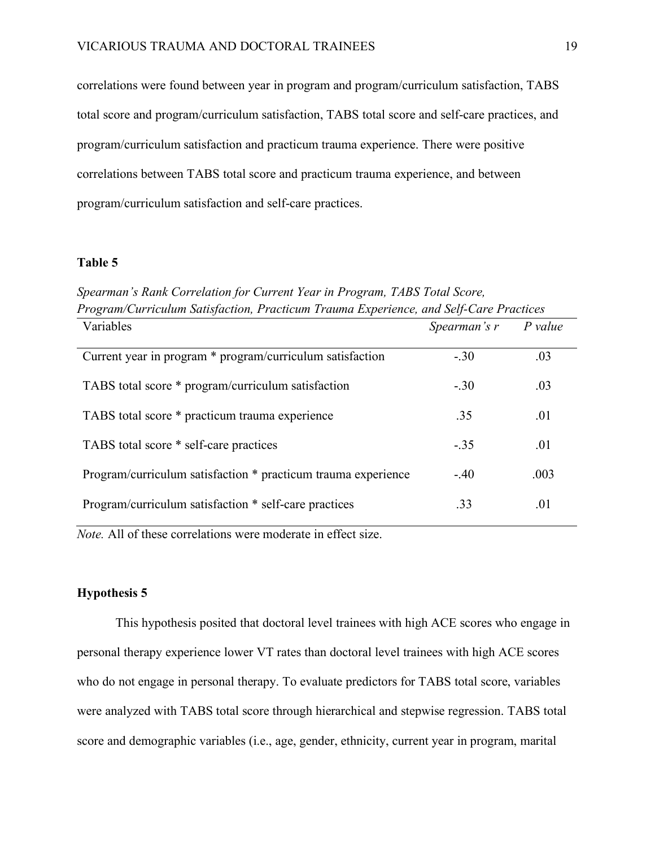correlations were found between year in program and program/curriculum satisfaction, TABS total score and program/curriculum satisfaction, TABS total score and self-care practices, and program/curriculum satisfaction and practicum trauma experience. There were positive correlations between TABS total score and practicum trauma experience, and between program/curriculum satisfaction and self-care practices.

#### **Table 5**

*Spearman's Rank Correlation for Current Year in Program, TABS Total Score, Program/Curriculum Satisfaction, Practicum Trauma Experience, and Self-Care Practices*

| Variables                                                     | Spearman's r | $P$ value |  |
|---------------------------------------------------------------|--------------|-----------|--|
| Current year in program * program/curriculum satisfaction     | $-.30$       | .03       |  |
| TABS total score * program/curriculum satisfaction            | $-.30$       | .03       |  |
| TABS total score * practicum trauma experience                | .35          | .01       |  |
| TABS total score * self-care practices                        | $-.35$       | .01       |  |
| Program/curriculum satisfaction * practicum trauma experience | $-.40$       | .003      |  |
| Program/curriculum satisfaction * self-care practices         | .33          | .01       |  |
|                                                               |              |           |  |

*Note.* All of these correlations were moderate in effect size.

#### **Hypothesis 5**

This hypothesis posited that doctoral level trainees with high ACE scores who engage in personal therapy experience lower VT rates than doctoral level trainees with high ACE scores who do not engage in personal therapy. To evaluate predictors for TABS total score, variables were analyzed with TABS total score through hierarchical and stepwise regression. TABS total score and demographic variables (i.e., age, gender, ethnicity, current year in program, marital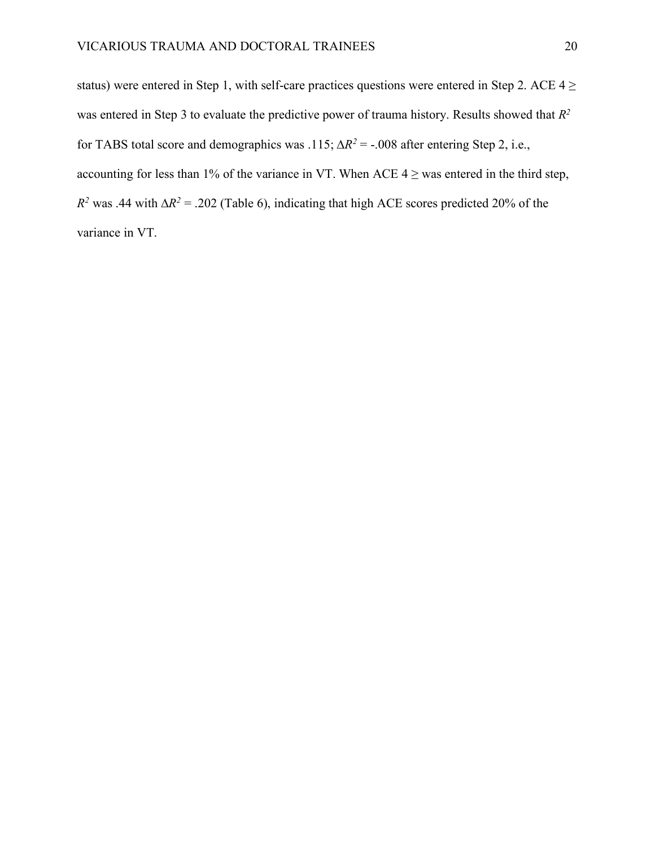status) were entered in Step 1, with self-care practices questions were entered in Step 2. ACE  $4 \ge$ was entered in Step 3 to evaluate the predictive power of trauma history. Results showed that *R2* for TABS total score and demographics was .115;  $\Delta R^2$  = -.008 after entering Step 2, i.e., accounting for less than 1% of the variance in VT. When ACE  $4 \ge$  was entered in the third step,  $R^2$  was .44 with  $\Delta R^2$  = .202 (Table 6), indicating that high ACE scores predicted 20% of the variance in VT.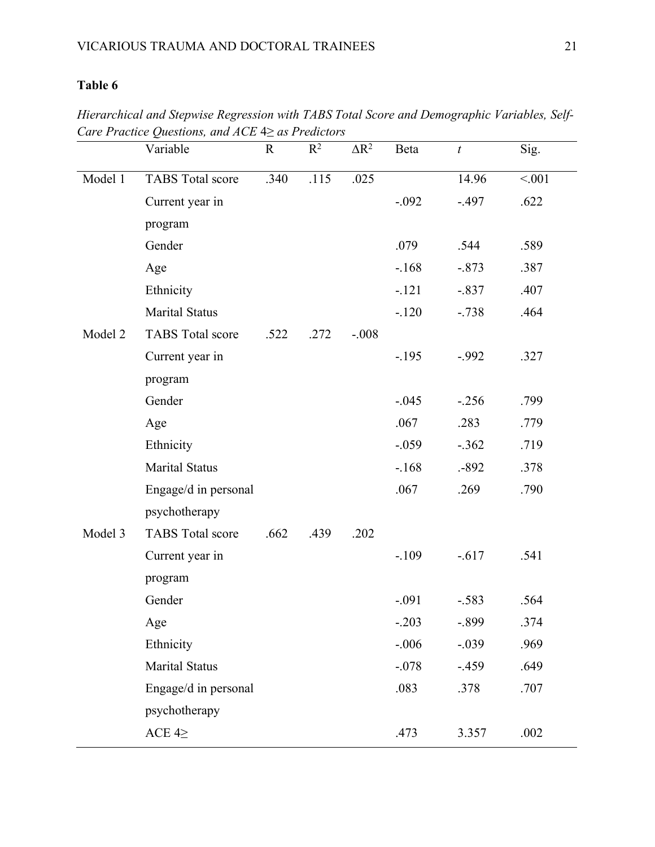*Hierarchical and Stepwise Regression with TABS Total Score and Demographic Variables, Self-Care Practice Questions, and ACE* 4≥ *as Predictors*

|         | Variable                | $\mathbf R$ | $R^2$ | $\Delta R^2$ | Beta    | $\boldsymbol{t}$ | Sig.  |
|---------|-------------------------|-------------|-------|--------------|---------|------------------|-------|
| Model 1 | <b>TABS</b> Total score | .340        | .115  | .025         |         | 14.96            | < 001 |
|         | Current year in         |             |       |              | $-.092$ | $-.497$          | .622  |
|         | program                 |             |       |              |         |                  |       |
|         | Gender                  |             |       |              | .079    | .544             | .589  |
|         | Age                     |             |       |              | $-168$  | $-.873$          | .387  |
|         | Ethnicity               |             |       |              | $-121$  | $-.837$          | .407  |
|         | <b>Marital Status</b>   |             |       |              | $-120$  | $-738$           | .464  |
| Model 2 | <b>TABS</b> Total score | .522        | .272  | $-.008$      |         |                  |       |
|         | Current year in         |             |       |              | $-195$  | $-.992$          | .327  |
|         | program                 |             |       |              |         |                  |       |
|         | Gender                  |             |       |              | $-.045$ | $-.256$          | .799  |
|         | Age                     |             |       |              | .067    | .283             | .779  |
|         | Ethnicity               |             |       |              | $-.059$ | $-.362$          | .719  |
|         | <b>Marital Status</b>   |             |       |              | $-168$  | $-892$           | .378  |
|         | Engage/d in personal    |             |       |              | .067    | .269             | .790  |
|         | psychotherapy           |             |       |              |         |                  |       |
| Model 3 | <b>TABS</b> Total score | .662        | .439  | .202         |         |                  |       |
|         | Current year in         |             |       |              | $-.109$ | $-0.617$         | .541  |
|         | program                 |             |       |              |         |                  |       |
|         | Gender                  |             |       |              | $-.091$ | $-.583$          | .564  |
|         | $\rm Age$               |             |       |              | $-.203$ | $-.899$          | .374  |
|         | Ethnicity               |             |       |              | $-.006$ | $-.039$          | .969  |
|         | <b>Marital Status</b>   |             |       |              | $-.078$ | $-.459$          | .649  |
|         | Engage/d in personal    |             |       |              | .083    | .378             | .707  |
|         | psychotherapy           |             |       |              |         |                  |       |
|         | ACE $4\geq$             |             |       |              | .473    | 3.357            | .002  |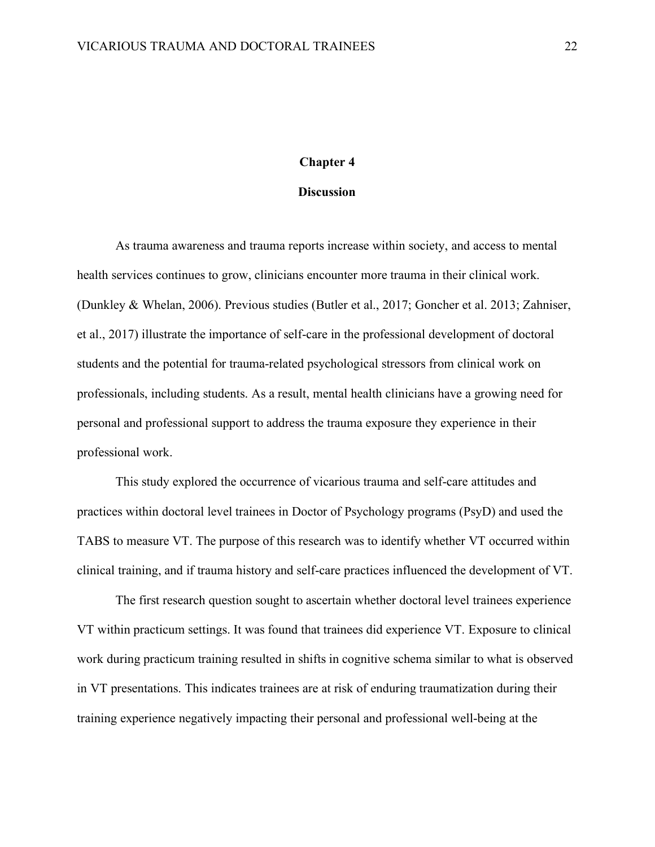#### **Chapter 4**

#### **Discussion**

As trauma awareness and trauma reports increase within society, and access to mental health services continues to grow, clinicians encounter more trauma in their clinical work. (Dunkley & Whelan, 2006). Previous studies (Butler et al., 2017; Goncher et al. 2013; Zahniser, et al., 2017) illustrate the importance of self-care in the professional development of doctoral students and the potential for trauma-related psychological stressors from clinical work on professionals, including students. As a result, mental health clinicians have a growing need for personal and professional support to address the trauma exposure they experience in their professional work.

This study explored the occurrence of vicarious trauma and self-care attitudes and practices within doctoral level trainees in Doctor of Psychology programs (PsyD) and used the TABS to measure VT. The purpose of this research was to identify whether VT occurred within clinical training, and if trauma history and self-care practices influenced the development of VT.

The first research question sought to ascertain whether doctoral level trainees experience VT within practicum settings. It was found that trainees did experience VT. Exposure to clinical work during practicum training resulted in shifts in cognitive schema similar to what is observed in VT presentations. This indicates trainees are at risk of enduring traumatization during their training experience negatively impacting their personal and professional well-being at the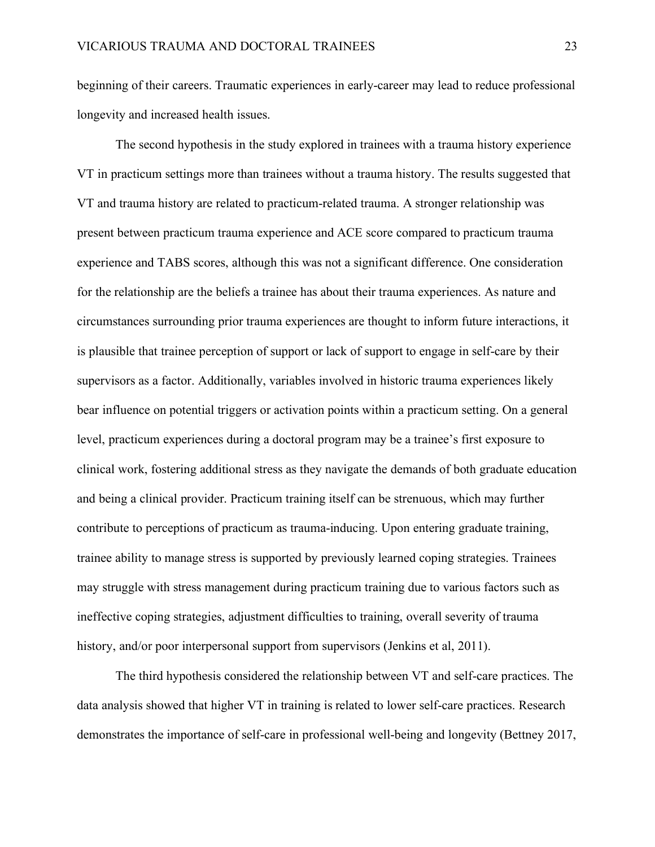beginning of their careers. Traumatic experiences in early-career may lead to reduce professional longevity and increased health issues.

The second hypothesis in the study explored in trainees with a trauma history experience VT in practicum settings more than trainees without a trauma history. The results suggested that VT and trauma history are related to practicum-related trauma. A stronger relationship was present between practicum trauma experience and ACE score compared to practicum trauma experience and TABS scores, although this was not a significant difference. One consideration for the relationship are the beliefs a trainee has about their trauma experiences. As nature and circumstances surrounding prior trauma experiences are thought to inform future interactions, it is plausible that trainee perception of support or lack of support to engage in self-care by their supervisors as a factor. Additionally, variables involved in historic trauma experiences likely bear influence on potential triggers or activation points within a practicum setting. On a general level, practicum experiences during a doctoral program may be a trainee's first exposure to clinical work, fostering additional stress as they navigate the demands of both graduate education and being a clinical provider. Practicum training itself can be strenuous, which may further contribute to perceptions of practicum as trauma-inducing. Upon entering graduate training, trainee ability to manage stress is supported by previously learned coping strategies. Trainees may struggle with stress management during practicum training due to various factors such as ineffective coping strategies, adjustment difficulties to training, overall severity of trauma history, and/or poor interpersonal support from supervisors (Jenkins et al, 2011).

The third hypothesis considered the relationship between VT and self-care practices. The data analysis showed that higher VT in training is related to lower self-care practices. Research demonstrates the importance of self-care in professional well-being and longevity (Bettney 2017,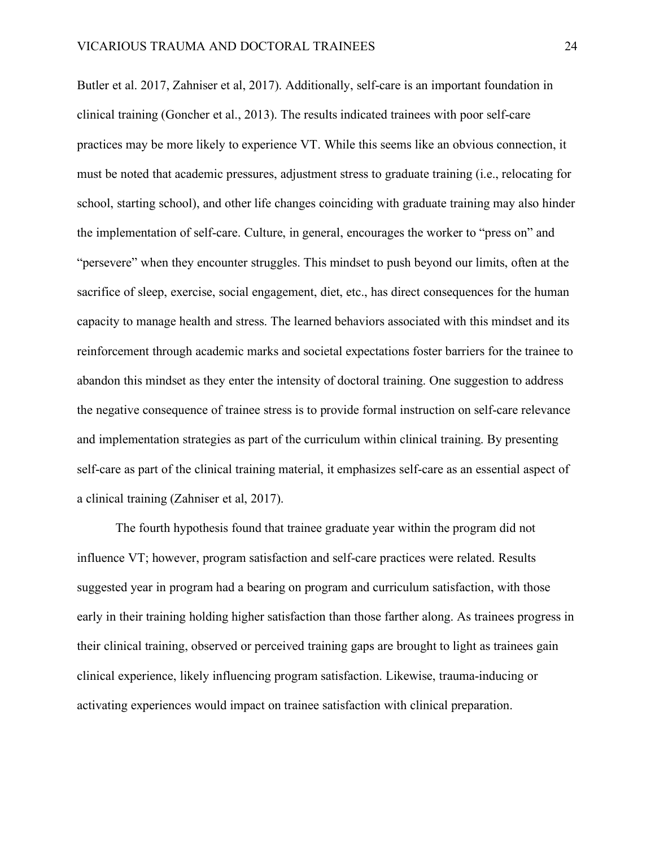Butler et al. 2017, Zahniser et al, 2017). Additionally, self-care is an important foundation in clinical training (Goncher et al., 2013). The results indicated trainees with poor self-care practices may be more likely to experience VT. While this seems like an obvious connection, it must be noted that academic pressures, adjustment stress to graduate training (i.e., relocating for school, starting school), and other life changes coinciding with graduate training may also hinder the implementation of self-care. Culture, in general, encourages the worker to "press on" and "persevere" when they encounter struggles. This mindset to push beyond our limits, often at the sacrifice of sleep, exercise, social engagement, diet, etc., has direct consequences for the human capacity to manage health and stress. The learned behaviors associated with this mindset and its reinforcement through academic marks and societal expectations foster barriers for the trainee to abandon this mindset as they enter the intensity of doctoral training. One suggestion to address the negative consequence of trainee stress is to provide formal instruction on self-care relevance and implementation strategies as part of the curriculum within clinical training. By presenting self-care as part of the clinical training material, it emphasizes self-care as an essential aspect of a clinical training (Zahniser et al, 2017).

The fourth hypothesis found that trainee graduate year within the program did not influence VT; however, program satisfaction and self-care practices were related. Results suggested year in program had a bearing on program and curriculum satisfaction, with those early in their training holding higher satisfaction than those farther along. As trainees progress in their clinical training, observed or perceived training gaps are brought to light as trainees gain clinical experience, likely influencing program satisfaction. Likewise, trauma-inducing or activating experiences would impact on trainee satisfaction with clinical preparation.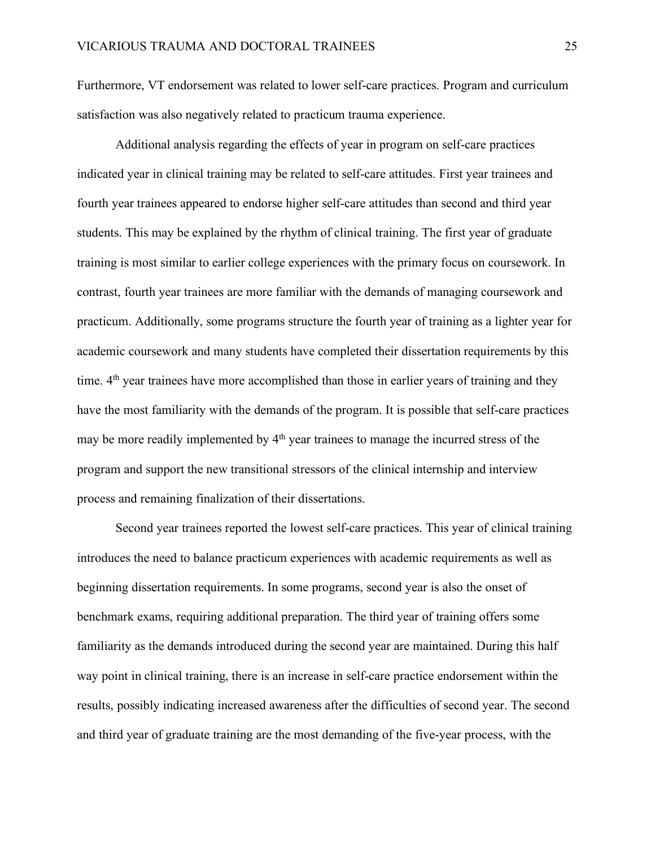Furthermore, VT endorsement was related to lower self-care practices. Program and curriculum satisfaction was also negatively related to practicum trauma experience.

Additional analysis regarding the effects of year in program on self-care practices indicated year in clinical training may be related to self-care attitudes. First year trainees and fourth year trainees appeared to endorse higher self-care attitudes than second and third year students. This may be explained by the rhythm of clinical training. The first year of graduate training is most similar to earlier college experiences with the primary focus on coursework. In contrast, fourth year trainees are more familiar with the demands of managing coursework and practicum. Additionally, some programs structure the fourth year of training as a lighter year for academic coursework and many students have completed their dissertation requirements by this time.  $4<sup>th</sup>$  year trainees have more accomplished than those in earlier years of training and they have the most familiarity with the demands of the program. It is possible that self-care practices may be more readily implemented by  $4<sup>th</sup>$  year trainees to manage the incurred stress of the program and support the new transitional stressors of the clinical internship and interview process and remaining finalization of their dissertations.

Second year trainees reported the lowest self-care practices. This year of clinical training introduces the need to balance practicum experiences with academic requirements as well as beginning dissertation requirements. In some programs, second year is also the onset of benchmark exams, requiring additional preparation. The third year of training offers some familiarity as the demands introduced during the second year are maintained. During this half way point in clinical training, there is an increase in self-care practice endorsement within the results, possibly indicating increased awareness after the difficulties of second year. The second and third year of graduate training are the most demanding of the five-year process, with the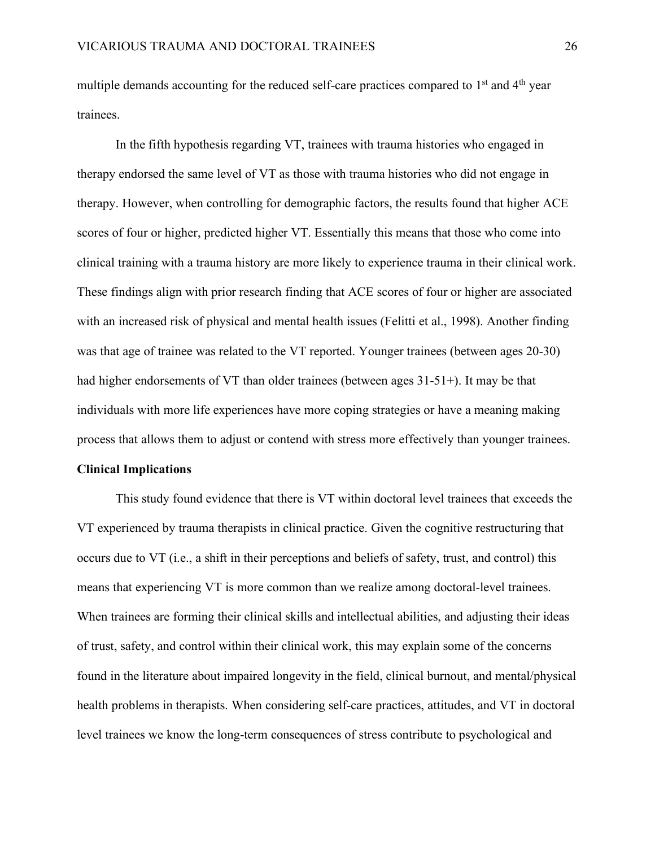multiple demands accounting for the reduced self-care practices compared to 1<sup>st</sup> and 4<sup>th</sup> year trainees.

In the fifth hypothesis regarding VT, trainees with trauma histories who engaged in therapy endorsed the same level of VT as those with trauma histories who did not engage in therapy. However, when controlling for demographic factors, the results found that higher ACE scores of four or higher, predicted higher VT. Essentially this means that those who come into clinical training with a trauma history are more likely to experience trauma in their clinical work. These findings align with prior research finding that ACE scores of four or higher are associated with an increased risk of physical and mental health issues (Felitti et al., 1998). Another finding was that age of trainee was related to the VT reported. Younger trainees (between ages 20-30) had higher endorsements of VT than older trainees (between ages 31-51+). It may be that individuals with more life experiences have more coping strategies or have a meaning making process that allows them to adjust or contend with stress more effectively than younger trainees.

#### **Clinical Implications**

This study found evidence that there is VT within doctoral level trainees that exceeds the VT experienced by trauma therapists in clinical practice. Given the cognitive restructuring that occurs due to VT (i.e., a shift in their perceptions and beliefs of safety, trust, and control) this means that experiencing VT is more common than we realize among doctoral-level trainees. When trainees are forming their clinical skills and intellectual abilities, and adjusting their ideas of trust, safety, and control within their clinical work, this may explain some of the concerns found in the literature about impaired longevity in the field, clinical burnout, and mental/physical health problems in therapists. When considering self-care practices, attitudes, and VT in doctoral level trainees we know the long-term consequences of stress contribute to psychological and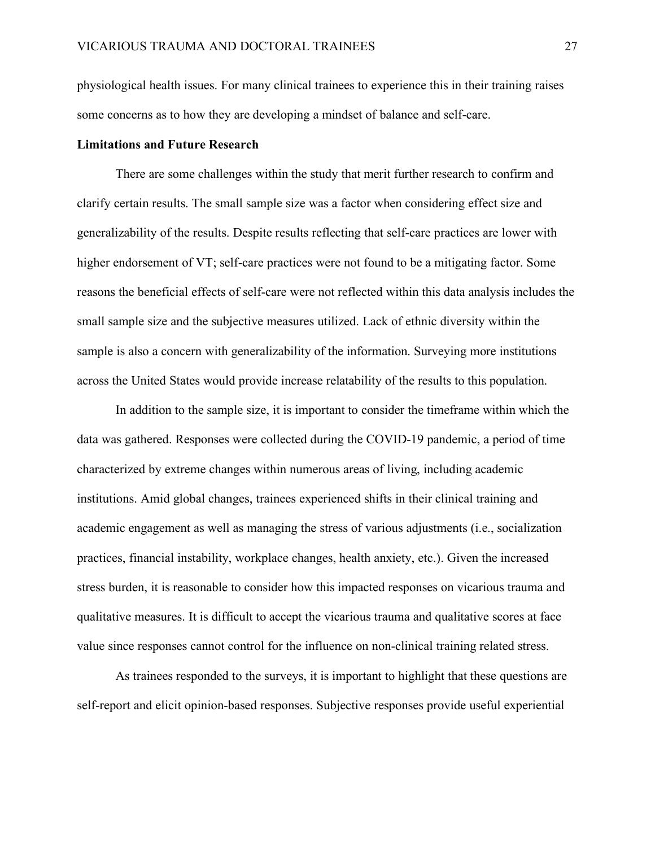physiological health issues. For many clinical trainees to experience this in their training raises some concerns as to how they are developing a mindset of balance and self-care.

#### **Limitations and Future Research**

There are some challenges within the study that merit further research to confirm and clarify certain results. The small sample size was a factor when considering effect size and generalizability of the results. Despite results reflecting that self-care practices are lower with higher endorsement of VT; self-care practices were not found to be a mitigating factor. Some reasons the beneficial effects of self-care were not reflected within this data analysis includes the small sample size and the subjective measures utilized. Lack of ethnic diversity within the sample is also a concern with generalizability of the information. Surveying more institutions across the United States would provide increase relatability of the results to this population.

In addition to the sample size, it is important to consider the timeframe within which the data was gathered. Responses were collected during the COVID-19 pandemic, a period of time characterized by extreme changes within numerous areas of living, including academic institutions. Amid global changes, trainees experienced shifts in their clinical training and academic engagement as well as managing the stress of various adjustments (i.e., socialization practices, financial instability, workplace changes, health anxiety, etc.). Given the increased stress burden, it is reasonable to consider how this impacted responses on vicarious trauma and qualitative measures. It is difficult to accept the vicarious trauma and qualitative scores at face value since responses cannot control for the influence on non-clinical training related stress.

As trainees responded to the surveys, it is important to highlight that these questions are self-report and elicit opinion-based responses. Subjective responses provide useful experiential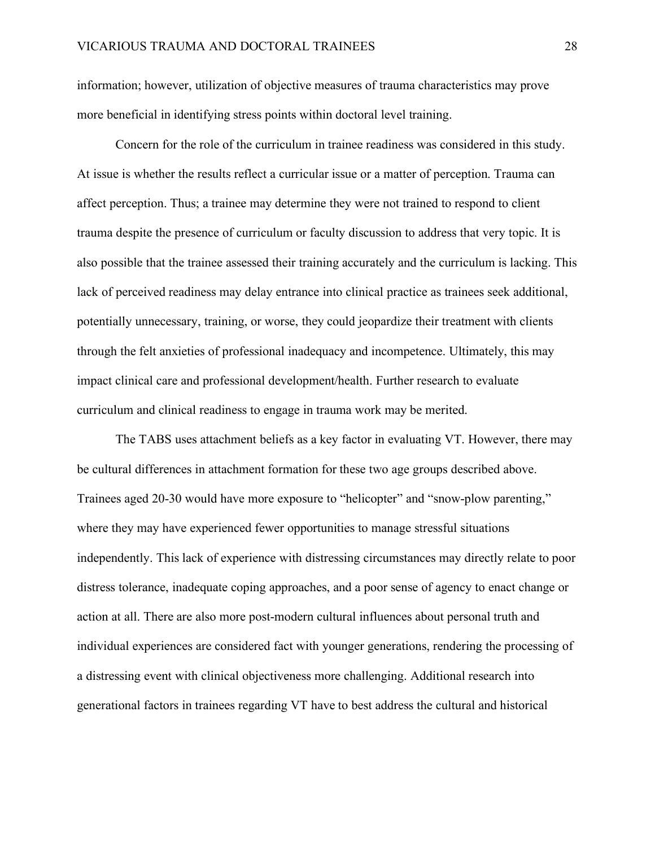information; however, utilization of objective measures of trauma characteristics may prove more beneficial in identifying stress points within doctoral level training.

Concern for the role of the curriculum in trainee readiness was considered in this study. At issue is whether the results reflect a curricular issue or a matter of perception. Trauma can affect perception. Thus; a trainee may determine they were not trained to respond to client trauma despite the presence of curriculum or faculty discussion to address that very topic. It is also possible that the trainee assessed their training accurately and the curriculum is lacking. This lack of perceived readiness may delay entrance into clinical practice as trainees seek additional, potentially unnecessary, training, or worse, they could jeopardize their treatment with clients through the felt anxieties of professional inadequacy and incompetence. Ultimately, this may impact clinical care and professional development/health. Further research to evaluate curriculum and clinical readiness to engage in trauma work may be merited.

The TABS uses attachment beliefs as a key factor in evaluating VT. However, there may be cultural differences in attachment formation for these two age groups described above. Trainees aged 20-30 would have more exposure to "helicopter" and "snow-plow parenting," where they may have experienced fewer opportunities to manage stressful situations independently. This lack of experience with distressing circumstances may directly relate to poor distress tolerance, inadequate coping approaches, and a poor sense of agency to enact change or action at all. There are also more post-modern cultural influences about personal truth and individual experiences are considered fact with younger generations, rendering the processing of a distressing event with clinical objectiveness more challenging. Additional research into generational factors in trainees regarding VT have to best address the cultural and historical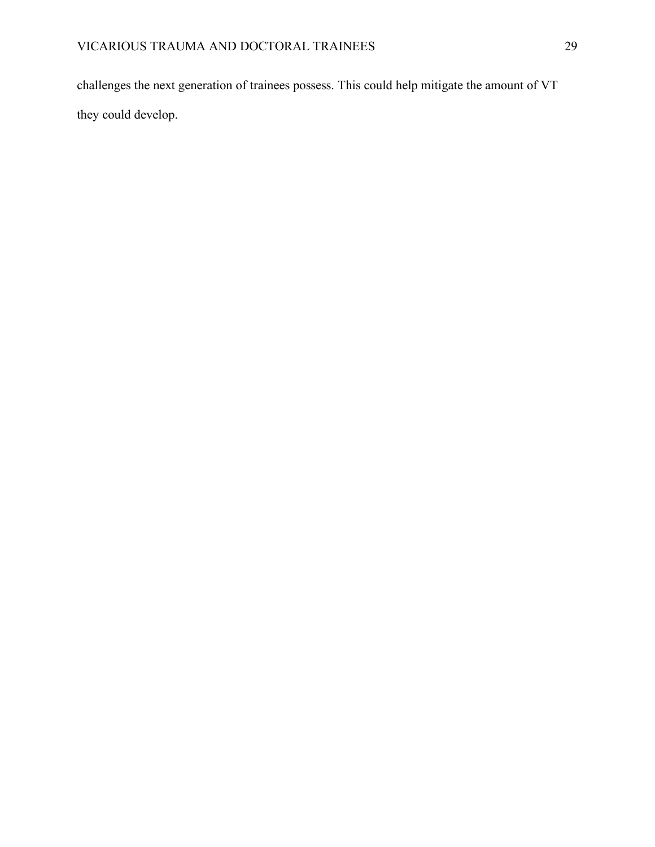challenges the next generation of trainees possess. This could help mitigate the amount of VT they could develop.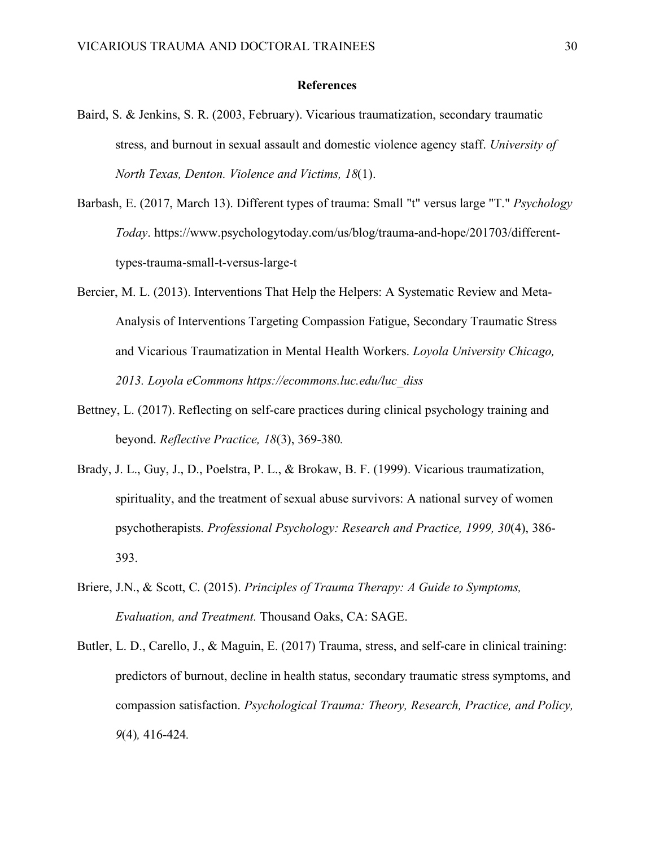#### **References**

- Baird, S. & Jenkins, S. R. (2003, February). Vicarious traumatization, secondary traumatic stress, and burnout in sexual assault and domestic violence agency staff. *University of North Texas, Denton. Violence and Victims, 18*(1).
- Barbash, E. (2017, March 13). Different types of trauma: Small "t" versus large "T." *Psychology Today*. https://www.psychologytoday.com/us/blog/trauma-and-hope/201703/differenttypes-trauma-small-t-versus-large-t
- Bercier, M. L. (2013). Interventions That Help the Helpers: A Systematic Review and Meta-Analysis of Interventions Targeting Compassion Fatigue, Secondary Traumatic Stress and Vicarious Traumatization in Mental Health Workers. *Loyola University Chicago, 2013. Loyola eCommons https://ecommons.luc.edu/luc\_diss*
- Bettney, L. (2017). Reflecting on self-care practices during clinical psychology training and beyond. *Reflective Practice, 18*(3), 369-380*.*
- Brady, J. L., Guy, J., D., Poelstra, P. L., & Brokaw, B. F. (1999). Vicarious traumatization, spirituality, and the treatment of sexual abuse survivors: A national survey of women psychotherapists. *Professional Psychology: Research and Practice, 1999, 30*(4), 386- 393.
- Briere, J.N., & Scott, C. (2015). *Principles of Trauma Therapy: A Guide to Symptoms, Evaluation, and Treatment.* Thousand Oaks, CA: SAGE.
- Butler, L. D., Carello, J., & Maguin, E. (2017) Trauma, stress, and self-care in clinical training: predictors of burnout, decline in health status, secondary traumatic stress symptoms, and compassion satisfaction. *Psychological Trauma: Theory, Research, Practice, and Policy, 9*(4)*,* 416-424*.*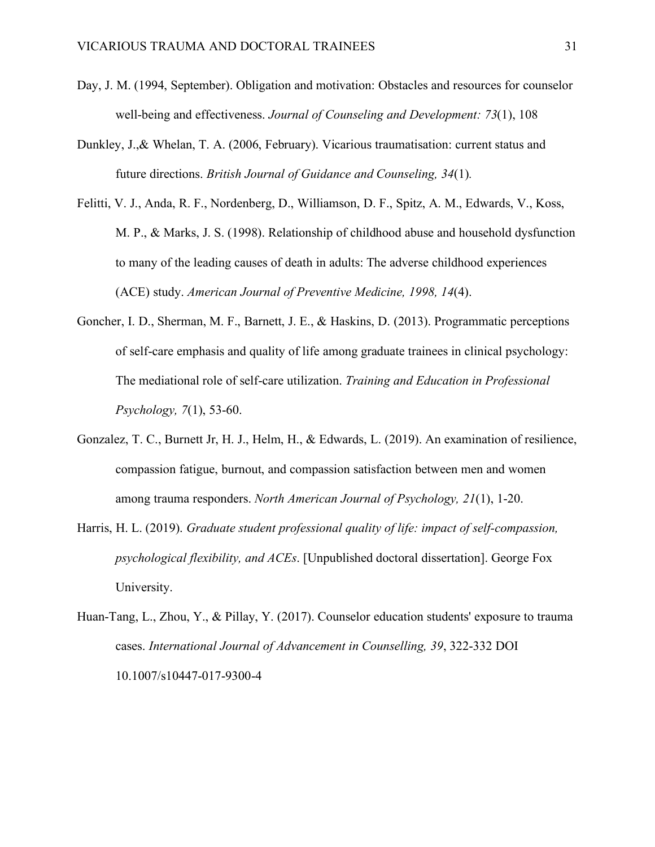- Day, J. M. (1994, September). Obligation and motivation: Obstacles and resources for counselor well-being and effectiveness. *Journal of Counseling and Development: 73*(1), 108
- Dunkley, J.,& Whelan, T. A. (2006, February). Vicarious traumatisation: current status and future directions. *British Journal of Guidance and Counseling, 34*(1)*.*
- Felitti, V. J., Anda, R. F., Nordenberg, D., Williamson, D. F., Spitz, A. M., Edwards, V., Koss, M. P., & Marks, J. S. (1998). Relationship of childhood abuse and household dysfunction to many of the leading causes of death in adults: The adverse childhood experiences (ACE) study. *American Journal of Preventive Medicine, 1998, 14*(4).
- Goncher, I. D., Sherman, M. F., Barnett, J. E., & Haskins, D. (2013). Programmatic perceptions of self-care emphasis and quality of life among graduate trainees in clinical psychology: The mediational role of self-care utilization. *Training and Education in Professional Psychology, 7*(1), 53-60.
- Gonzalez, T. C., Burnett Jr, H. J., Helm, H., & Edwards, L. (2019). An examination of resilience, compassion fatigue, burnout, and compassion satisfaction between men and women among trauma responders. *North American Journal of Psychology, 21*(1), 1-20.
- Harris, H. L. (2019). *Graduate student professional quality of life: impact of self-compassion, psychological flexibility, and ACEs*. [Unpublished doctoral dissertation]. George Fox University.
- Huan-Tang, L., Zhou, Y., & Pillay, Y. (2017). Counselor education students' exposure to trauma cases. *International Journal of Advancement in Counselling, 39*, 322-332 DOI 10.1007/s10447-017-9300-4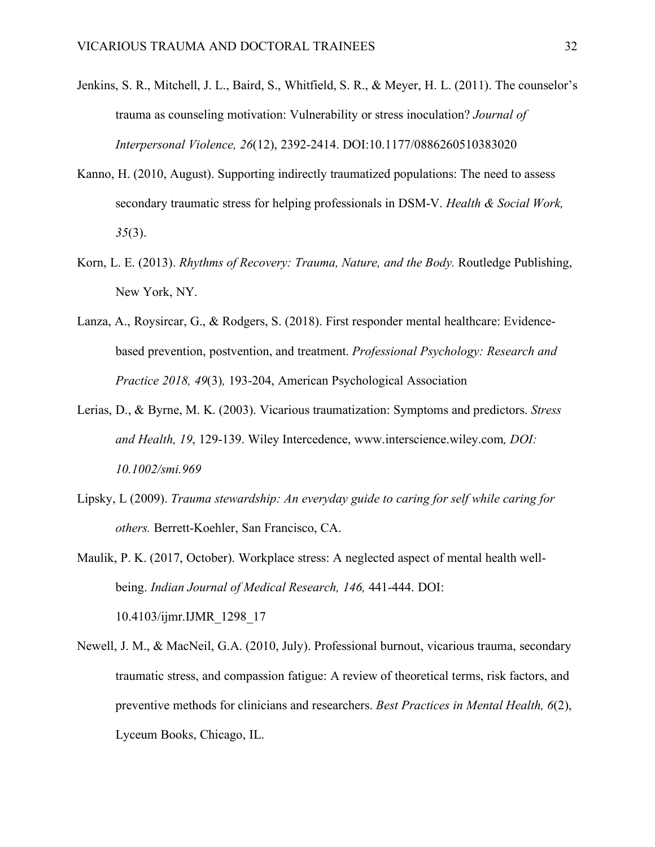- Jenkins, S. R., Mitchell, J. L., Baird, S., Whitfield, S. R., & Meyer, H. L. (2011). The counselor's trauma as counseling motivation: Vulnerability or stress inoculation? *Journal of Interpersonal Violence, 26*(12), 2392-2414. DOI:10.1177/0886260510383020
- Kanno, H. (2010, August). Supporting indirectly traumatized populations: The need to assess secondary traumatic stress for helping professionals in DSM-V. *Health & Social Work, 35*(3).
- Korn, L. E. (2013). *Rhythms of Recovery: Trauma, Nature, and the Body.* Routledge Publishing, New York, NY.
- Lanza, A., Roysircar, G., & Rodgers, S. (2018). First responder mental healthcare: Evidencebased prevention, postvention, and treatment. *Professional Psychology: Research and Practice 2018, 49*(3)*,* 193-204, American Psychological Association
- Lerias, D., & Byrne, M. K. (2003). Vicarious traumatization: Symptoms and predictors. *Stress and Health, 19*, 129-139. Wiley Intercedence, www.interscience.wiley.com*, DOI: 10.1002/smi.969*
- Lipsky, L (2009). *Trauma stewardship: An everyday guide to caring for self while caring for others.* Berrett-Koehler, San Francisco, CA.
- Maulik, P. K. (2017, October). Workplace stress: A neglected aspect of mental health wellbeing. *Indian Journal of Medical Research, 146,* 441-444. DOI: 10.4103/ijmr.IJMR\_1298\_17
- Newell, J. M., & MacNeil, G.A. (2010, July). Professional burnout, vicarious trauma, secondary traumatic stress, and compassion fatigue: A review of theoretical terms, risk factors, and preventive methods for clinicians and researchers. *Best Practices in Mental Health, 6*(2), Lyceum Books, Chicago, IL.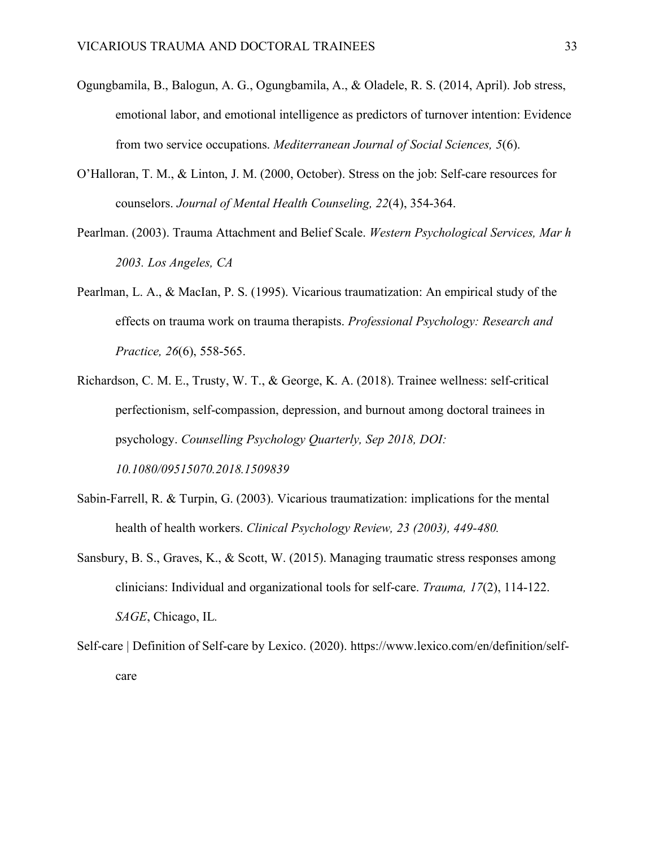- Ogungbamila, B., Balogun, A. G., Ogungbamila, A., & Oladele, R. S. (2014, April). Job stress, emotional labor, and emotional intelligence as predictors of turnover intention: Evidence from two service occupations. *Mediterranean Journal of Social Sciences, 5*(6).
- O'Halloran, T. M., & Linton, J. M. (2000, October). Stress on the job: Self-care resources for counselors. *Journal of Mental Health Counseling, 22*(4), 354-364.
- Pearlman. (2003). Trauma Attachment and Belief Scale. *Western Psychological Services, Mar h 2003. Los Angeles, CA*
- Pearlman, L. A., & MacIan, P. S. (1995). Vicarious traumatization: An empirical study of the effects on trauma work on trauma therapists. *Professional Psychology: Research and Practice, 26*(6), 558-565.
- Richardson, C. M. E., Trusty, W. T., & George, K. A. (2018). Trainee wellness: self-critical perfectionism, self-compassion, depression, and burnout among doctoral trainees in psychology. *Counselling Psychology Quarterly, Sep 2018, DOI: 10.1080/09515070.2018.1509839*
- Sabin-Farrell, R. & Turpin, G. (2003). Vicarious traumatization: implications for the mental health of health workers. *Clinical Psychology Review, 23 (2003), 449-480.*
- Sansbury, B. S., Graves, K., & Scott, W. (2015). Managing traumatic stress responses among clinicians: Individual and organizational tools for self-care. *Trauma, 17*(2), 114-122. *SAGE*, Chicago, IL*.*
- Self-care | Definition of Self-care by Lexico. (2020). https://www.lexico.com/en/definition/selfcare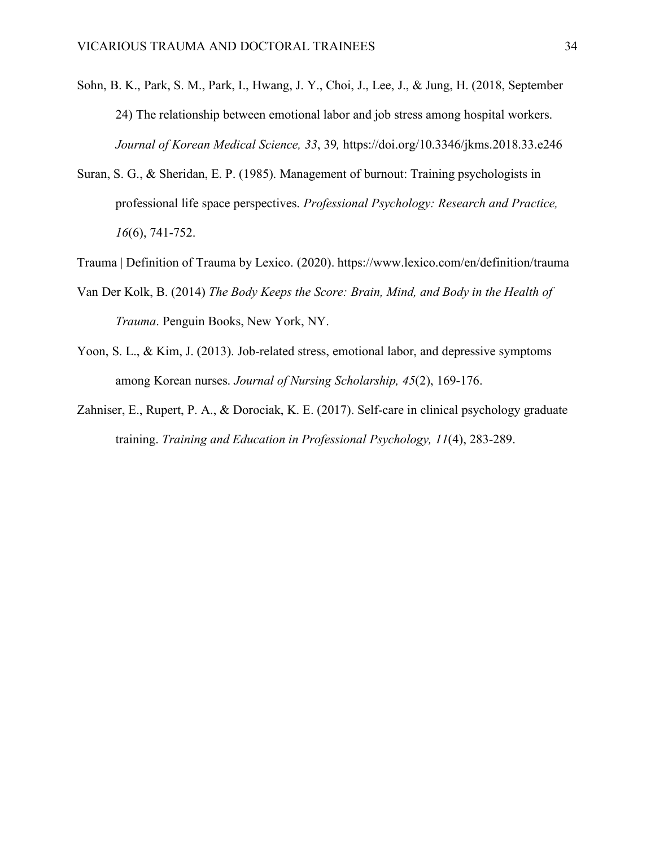- Sohn, B. K., Park, S. M., Park, I., Hwang, J. Y., Choi, J., Lee, J., & Jung, H. (2018, September 24) The relationship between emotional labor and job stress among hospital workers. *Journal of Korean Medical Science, 33*, 39*,* https://doi.org/10.3346/jkms.2018.33.e246
- Suran, S. G., & Sheridan, E. P. (1985). Management of burnout: Training psychologists in professional life space perspectives. *Professional Psychology: Research and Practice, 16*(6), 741-752.
- Trauma | Definition of Trauma by Lexico. (2020). https://www.lexico.com/en/definition/trauma
- Van Der Kolk, B. (2014) *The Body Keeps the Score: Brain, Mind, and Body in the Health of Trauma*. Penguin Books, New York, NY.
- Yoon, S. L., & Kim, J. (2013). Job-related stress, emotional labor, and depressive symptoms among Korean nurses. *Journal of Nursing Scholarship, 45*(2), 169-176.
- Zahniser, E., Rupert, P. A., & Dorociak, K. E. (2017). Self-care in clinical psychology graduate training. *Training and Education in Professional Psychology, 11*(4), 283-289.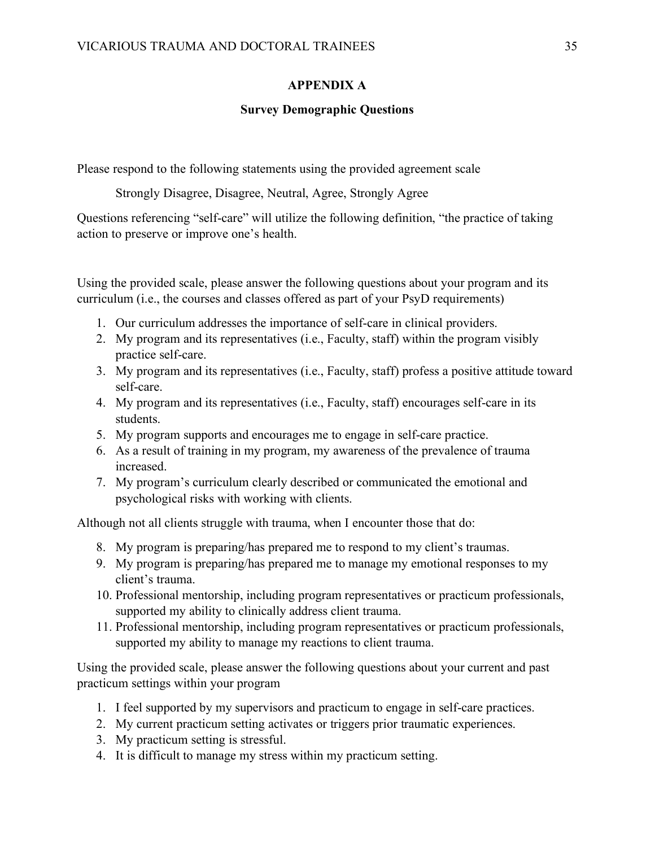## **APPENDIX A**

### **Survey Demographic Questions**

Please respond to the following statements using the provided agreement scale

Strongly Disagree, Disagree, Neutral, Agree, Strongly Agree

Questions referencing "self-care" will utilize the following definition, "the practice of taking action to preserve or improve one's health.

Using the provided scale, please answer the following questions about your program and its curriculum (i.e., the courses and classes offered as part of your PsyD requirements)

- 1. Our curriculum addresses the importance of self-care in clinical providers.
- 2. My program and its representatives (i.e., Faculty, staff) within the program visibly practice self-care.
- 3. My program and its representatives (i.e., Faculty, staff) profess a positive attitude toward self-care.
- 4. My program and its representatives (i.e., Faculty, staff) encourages self-care in its students.
- 5. My program supports and encourages me to engage in self-care practice.
- 6. As a result of training in my program, my awareness of the prevalence of trauma increased.
- 7. My program's curriculum clearly described or communicated the emotional and psychological risks with working with clients.

Although not all clients struggle with trauma, when I encounter those that do:

- 8. My program is preparing/has prepared me to respond to my client's traumas.
- 9. My program is preparing/has prepared me to manage my emotional responses to my client's trauma.
- 10. Professional mentorship, including program representatives or practicum professionals, supported my ability to clinically address client trauma.
- 11. Professional mentorship, including program representatives or practicum professionals, supported my ability to manage my reactions to client trauma.

Using the provided scale, please answer the following questions about your current and past practicum settings within your program

- 1. I feel supported by my supervisors and practicum to engage in self-care practices.
- 2. My current practicum setting activates or triggers prior traumatic experiences.
- 3. My practicum setting is stressful.
- 4. It is difficult to manage my stress within my practicum setting.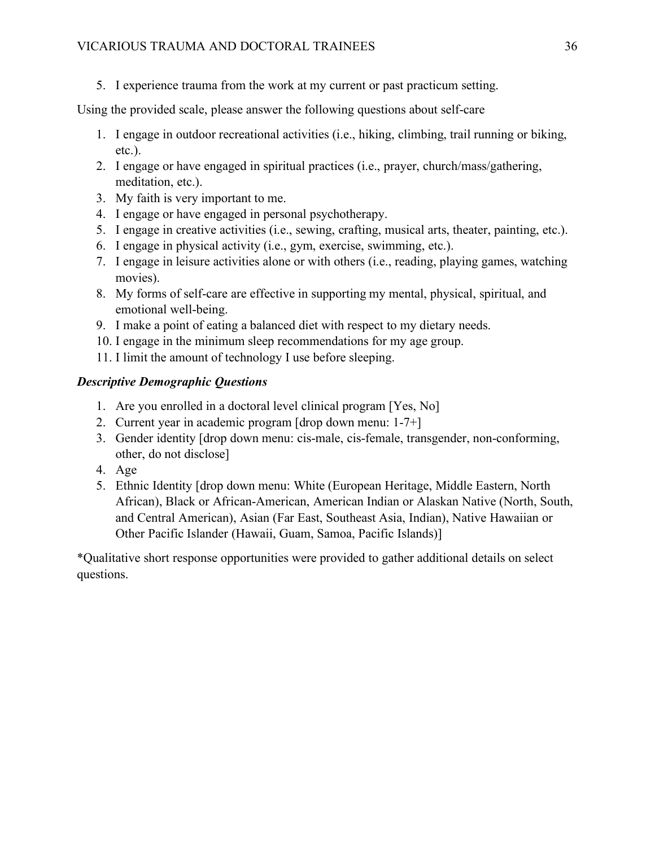5. I experience trauma from the work at my current or past practicum setting.

Using the provided scale, please answer the following questions about self-care

- 1. I engage in outdoor recreational activities (i.e., hiking, climbing, trail running or biking, etc.).
- 2. I engage or have engaged in spiritual practices (i.e., prayer, church/mass/gathering, meditation, etc.).
- 3. My faith is very important to me.
- 4. I engage or have engaged in personal psychotherapy.
- 5. I engage in creative activities (i.e., sewing, crafting, musical arts, theater, painting, etc.).
- 6. I engage in physical activity (i.e., gym, exercise, swimming, etc.).
- 7. I engage in leisure activities alone or with others (i.e., reading, playing games, watching movies).
- 8. My forms of self-care are effective in supporting my mental, physical, spiritual, and emotional well-being.
- 9. I make a point of eating a balanced diet with respect to my dietary needs.
- 10. I engage in the minimum sleep recommendations for my age group.
- 11. I limit the amount of technology I use before sleeping.

## *Descriptive Demographic Questions*

- 1. Are you enrolled in a doctoral level clinical program [Yes, No]
- 2. Current year in academic program [drop down menu: 1-7+]
- 3. Gender identity [drop down menu: cis-male, cis-female, transgender, non-conforming, other, do not disclose]
- 4. Age
- 5. Ethnic Identity [drop down menu: White (European Heritage, Middle Eastern, North African), Black or African-American, American Indian or Alaskan Native (North, South, and Central American), Asian (Far East, Southeast Asia, Indian), Native Hawaiian or Other Pacific Islander (Hawaii, Guam, Samoa, Pacific Islands)]

\*Qualitative short response opportunities were provided to gather additional details on select questions.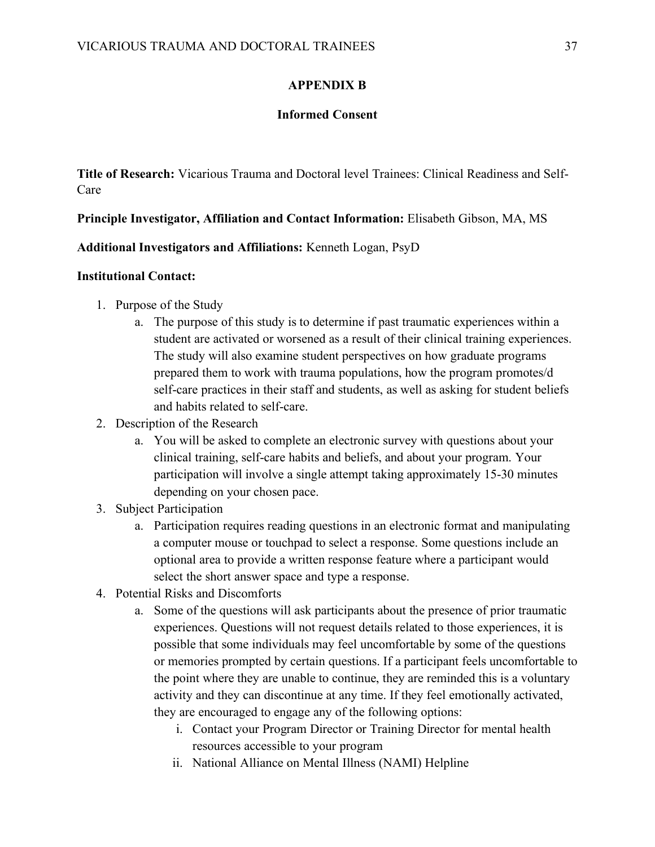## **APPENDIX B**

#### **Informed Consent**

**Title of Research:** Vicarious Trauma and Doctoral level Trainees: Clinical Readiness and Self-Care

**Principle Investigator, Affiliation and Contact Information:** Elisabeth Gibson, MA, MS

**Additional Investigators and Affiliations:** Kenneth Logan, PsyD

#### **Institutional Contact:**

- 1. Purpose of the Study
	- a. The purpose of this study is to determine if past traumatic experiences within a student are activated or worsened as a result of their clinical training experiences. The study will also examine student perspectives on how graduate programs prepared them to work with trauma populations, how the program promotes/d self-care practices in their staff and students, as well as asking for student beliefs and habits related to self-care.
- 2. Description of the Research
	- a. You will be asked to complete an electronic survey with questions about your clinical training, self-care habits and beliefs, and about your program. Your participation will involve a single attempt taking approximately 15-30 minutes depending on your chosen pace.
- 3. Subject Participation
	- a. Participation requires reading questions in an electronic format and manipulating a computer mouse or touchpad to select a response. Some questions include an optional area to provide a written response feature where a participant would select the short answer space and type a response.
- 4. Potential Risks and Discomforts
	- a. Some of the questions will ask participants about the presence of prior traumatic experiences. Questions will not request details related to those experiences, it is possible that some individuals may feel uncomfortable by some of the questions or memories prompted by certain questions. If a participant feels uncomfortable to the point where they are unable to continue, they are reminded this is a voluntary activity and they can discontinue at any time. If they feel emotionally activated, they are encouraged to engage any of the following options:
		- i. Contact your Program Director or Training Director for mental health resources accessible to your program
		- ii. National Alliance on Mental Illness (NAMI) Helpline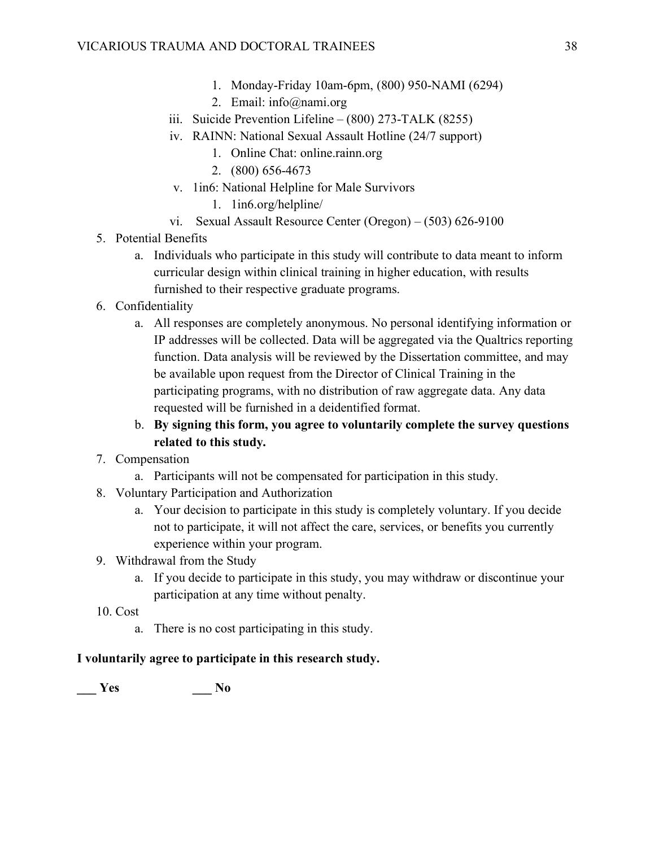- 1. Monday-Friday 10am-6pm, (800) 950-NAMI (6294)
- 2. Email: info@nami.org
- iii. Suicide Prevention Lifeline (800) 273-TALK (8255)
- iv. RAINN: National Sexual Assault Hotline (24/7 support)
	- 1. Online Chat: online.rainn.org
	- 2. (800) 656-4673
- v. 1in6: National Helpline for Male Survivors
	- 1. 1in6.org/helpline/
- vi. Sexual Assault Resource Center (Oregon) (503) 626-9100
- 5. Potential Benefits
	- a. Individuals who participate in this study will contribute to data meant to inform curricular design within clinical training in higher education, with results furnished to their respective graduate programs.
- 6. Confidentiality
	- a. All responses are completely anonymous. No personal identifying information or IP addresses will be collected. Data will be aggregated via the Qualtrics reporting function. Data analysis will be reviewed by the Dissertation committee, and may be available upon request from the Director of Clinical Training in the participating programs, with no distribution of raw aggregate data. Any data requested will be furnished in a deidentified format.
	- b. **By signing this form, you agree to voluntarily complete the survey questions related to this study.**
- 7. Compensation
	- a. Participants will not be compensated for participation in this study.
- 8. Voluntary Participation and Authorization
	- a. Your decision to participate in this study is completely voluntary. If you decide not to participate, it will not affect the care, services, or benefits you currently experience within your program.
- 9. Withdrawal from the Study
	- a. If you decide to participate in this study, you may withdraw or discontinue your participation at any time without penalty.
- 10. Cost
	- a. There is no cost participating in this study.

## **I voluntarily agree to participate in this research study.**

**\_\_\_ Yes \_\_\_ No**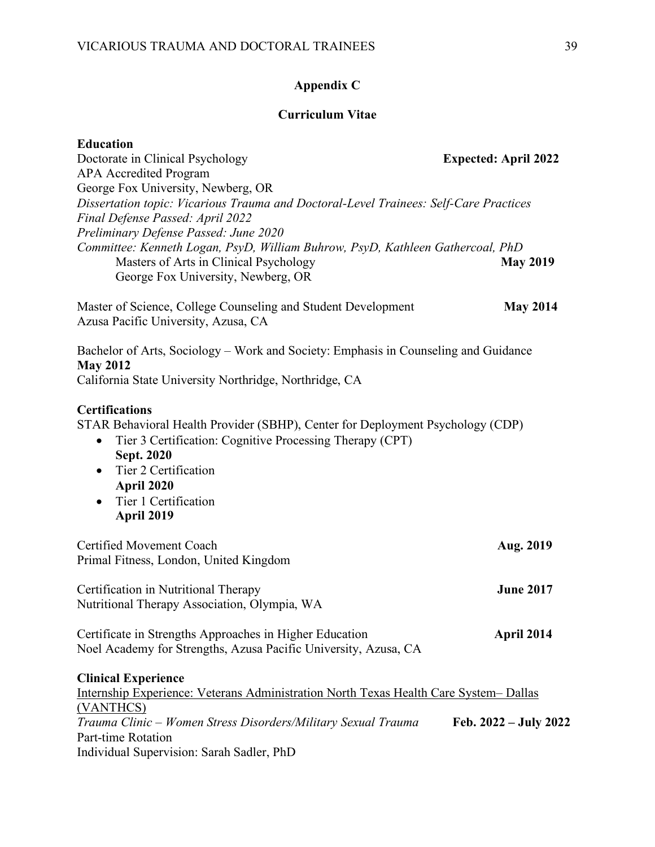### **Appendix C**

#### **Curriculum Vitae**

Doctorate in Clinical Psychology **Expected: April 2022** APA Accredited Program George Fox University, Newberg, OR *Dissertation topic: Vicarious Trauma and Doctoral-Level Trainees: Self-Care Practices Final Defense Passed: April 2022 Preliminary Defense Passed: June 2020 Committee: Kenneth Logan, PsyD, William Buhrow, PsyD, Kathleen Gathercoal, PhD* Masters of Arts in Clinical Psychology **May 2019** George Fox University, Newberg, OR

Master of Science, College Counseling and Student Development **May 2014** Azusa Pacific University, Azusa, CA

## Bachelor of Arts, Sociology – Work and Society: Emphasis in Counseling and Guidance **May 2012**

California State University Northridge, Northridge, CA

#### **Certifications**

STAR Behavioral Health Provider (SBHP), Center for Deployment Psychology (CDP)

- Tier 3 Certification: Cognitive Processing Therapy (CPT) **Sept. 2020**
- Tier 2 Certification **April 2020**
- Tier 1 Certification **April 2019**

Certified Movement Coach **Aug. 2019** Primal Fitness, London, United Kingdom

Certification in Nutritional Therapy **June 2017** Nutritional Therapy Association, Olympia, WA

Certificate in Strengths Approaches in Higher Education **April 2014** Noel Academy for Strengths, Azusa Pacific University, Azusa, CA

#### **Clinical Experience**

| Internship Experience: Veterans Administration North Texas Health Care System - Dallas |                         |
|----------------------------------------------------------------------------------------|-------------------------|
| (VANTHCS)                                                                              |                         |
| Trauma Clinic – Women Stress Disorders/Military Sexual Trauma                          | Feb. $2022 - July 2022$ |
| Part-time Rotation                                                                     |                         |
| Individual Supervision: Sarah Sadler, PhD                                              |                         |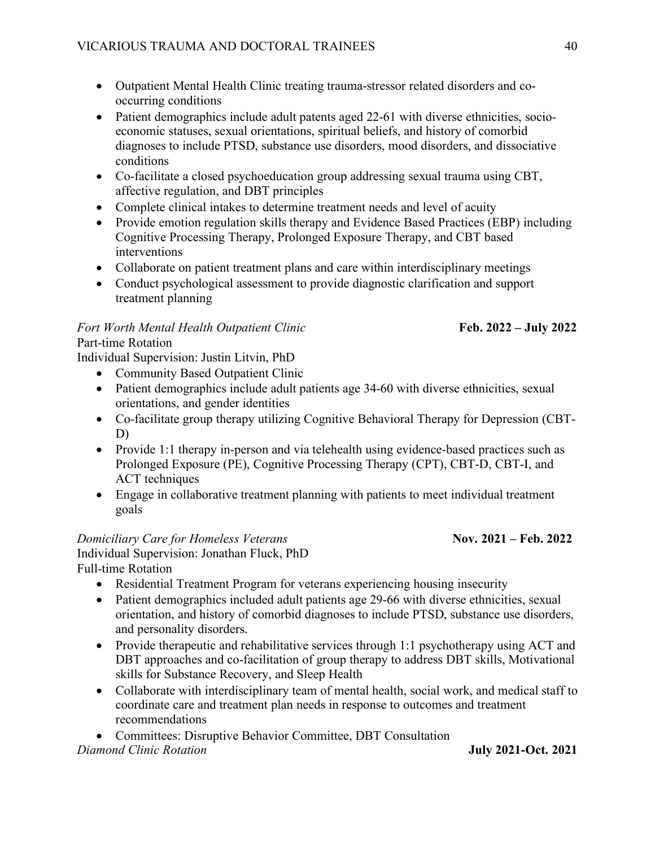- Outpatient Mental Health Clinic treating trauma-stressor related disorders and cooccurring conditions
- Patient demographics include adult patents aged 22-61 with diverse ethnicities, socioeconomic statuses, sexual orientations, spiritual beliefs, and history of comorbid diagnoses to include PTSD, substance use disorders, mood disorders, and dissociative conditions
- Co-facilitate a closed psychoeducation group addressing sexual trauma using CBT, affective regulation, and DBT principles
- Complete clinical intakes to determine treatment needs and level of acuity
- Provide emotion regulation skills therapy and Evidence Based Practices (EBP) including Cognitive Processing Therapy, Prolonged Exposure Therapy, and CBT based interventions
- Collaborate on patient treatment plans and care within interdisciplinary meetings
- Conduct psychological assessment to provide diagnostic clarification and support treatment planning

## *Fort Worth Mental Health Outpatient Clinic* **Feb. 2022 – July 2022**

## Part-time Rotation

Individual Supervision: Justin Litvin, PhD

- Community Based Outpatient Clinic
- Patient demographics include adult patients age 34-60 with diverse ethnicities, sexual orientations, and gender identities
- Co-facilitate group therapy utilizing Cognitive Behavioral Therapy for Depression (CBT-D)
- Provide 1:1 therapy in-person and via telehealth using evidence-based practices such as Prolonged Exposure (PE), Cognitive Processing Therapy (CPT), CBT-D, CBT-I, and ACT techniques
- Engage in collaborative treatment planning with patients to meet individual treatment goals

## *Domiciliary Care for Homeless Veterans Nov. 2021 – Feb. 2022*

Individual Supervision: Jonathan Fluck, PhD Full-time Rotation

- Residential Treatment Program for veterans experiencing housing insecurity
- Patient demographics included adult patients age 29-66 with diverse ethnicities, sexual orientation, and history of comorbid diagnoses to include PTSD, substance use disorders, and personality disorders.
- Provide therapeutic and rehabilitative services through 1:1 psychotherapy using ACT and DBT approaches and co-facilitation of group therapy to address DBT skills, Motivational skills for Substance Recovery, and Sleep Health
- Collaborate with interdisciplinary team of mental health, social work, and medical staff to coordinate care and treatment plan needs in response to outcomes and treatment recommendations

• Committees: Disruptive Behavior Committee, DBT Consultation

*Diamond Clinic Rotation* **July 2021-Oct. 2021**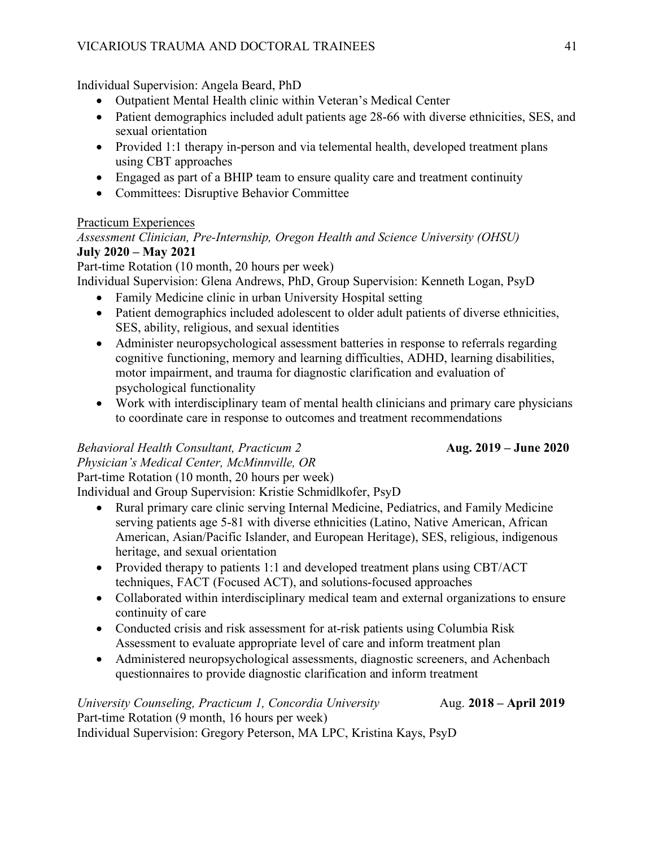Individual Supervision: Angela Beard, PhD

- Outpatient Mental Health clinic within Veteran's Medical Center
- Patient demographics included adult patients age 28-66 with diverse ethnicities, SES, and sexual orientation
- Provided 1:1 therapy in-person and via telemental health, developed treatment plans using CBT approaches
- Engaged as part of a BHIP team to ensure quality care and treatment continuity
- Committees: Disruptive Behavior Committee

## Practicum Experiences

*Assessment Clinician, Pre-Internship, Oregon Health and Science University (OHSU)* **July 2020 – May 2021** 

Part-time Rotation (10 month, 20 hours per week)

Individual Supervision: Glena Andrews, PhD, Group Supervision: Kenneth Logan, PsyD

- Family Medicine clinic in urban University Hospital setting
- Patient demographics included adolescent to older adult patients of diverse ethnicities, SES, ability, religious, and sexual identities
- Administer neuropsychological assessment batteries in response to referrals regarding cognitive functioning, memory and learning difficulties, ADHD, learning disabilities, motor impairment, and trauma for diagnostic clarification and evaluation of psychological functionality
- Work with interdisciplinary team of mental health clinicians and primary care physicians to coordinate care in response to outcomes and treatment recommendations

## *Behavioral Health Consultant, Practicum 2* **Aug. 2019 – June 2020**

*Physician's Medical Center, McMinnville, OR*

Part-time Rotation (10 month, 20 hours per week)

Individual and Group Supervision: Kristie Schmidlkofer, PsyD

- Rural primary care clinic serving Internal Medicine, Pediatrics, and Family Medicine serving patients age 5-81 with diverse ethnicities (Latino, Native American, African American, Asian/Pacific Islander, and European Heritage), SES, religious, indigenous heritage, and sexual orientation
- Provided therapy to patients 1:1 and developed treatment plans using CBT/ACT techniques, FACT (Focused ACT), and solutions-focused approaches
- Collaborated within interdisciplinary medical team and external organizations to ensure continuity of care
- Conducted crisis and risk assessment for at-risk patients using Columbia Risk Assessment to evaluate appropriate level of care and inform treatment plan
- Administered neuropsychological assessments, diagnostic screeners, and Achenbach questionnaires to provide diagnostic clarification and inform treatment

*University Counseling, Practicum 1, Concordia University* Aug. **2018 – April 2019** Part-time Rotation (9 month, 16 hours per week) Individual Supervision: Gregory Peterson, MA LPC, Kristina Kays, PsyD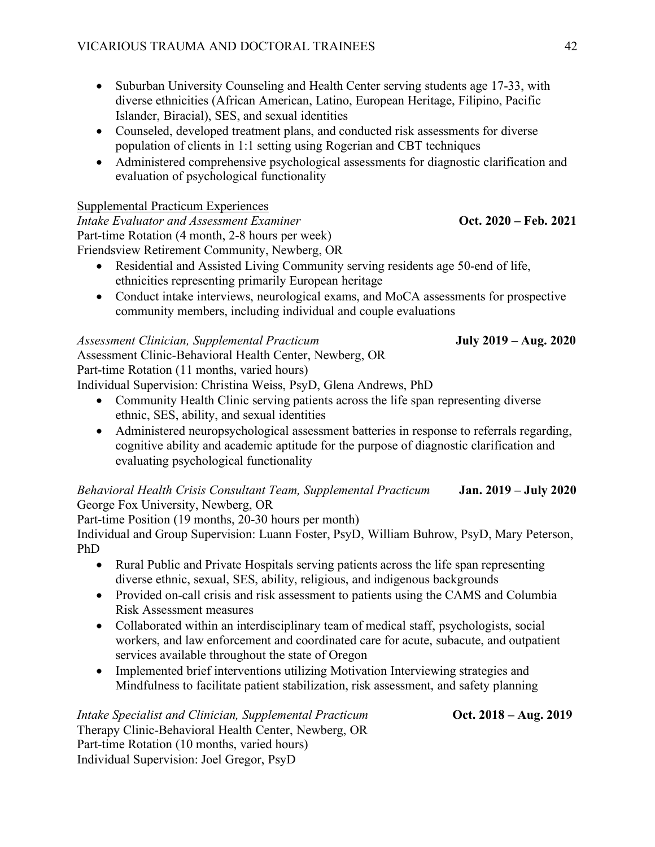- Suburban University Counseling and Health Center serving students age 17-33, with diverse ethnicities (African American, Latino, European Heritage, Filipino, Pacific Islander, Biracial), SES, and sexual identities
- Counseled, developed treatment plans, and conducted risk assessments for diverse population of clients in 1:1 setting using Rogerian and CBT techniques
- Administered comprehensive psychological assessments for diagnostic clarification and evaluation of psychological functionality

### Supplemental Practicum Experiences

*Intake Evaluator and Assessment Examiner Oct. 2020 – Feb. 2021* Part-time Rotation (4 month, 2-8 hours per week) Friendsview Retirement Community, Newberg, OR

- Residential and Assisted Living Community serving residents age 50-end of life, ethnicities representing primarily European heritage
- Conduct intake interviews, neurological exams, and MoCA assessments for prospective community members, including individual and couple evaluations

## *Assessment Clinician, Supplemental Practicum* **July 2019 – Aug. 2020**

Assessment Clinic-Behavioral Health Center, Newberg, OR Part-time Rotation (11 months, varied hours) Individual Supervision: Christina Weiss, PsyD, Glena Andrews, PhD

- Community Health Clinic serving patients across the life span representing diverse ethnic, SES, ability, and sexual identities
- Administered neuropsychological assessment batteries in response to referrals regarding, cognitive ability and academic aptitude for the purpose of diagnostic clarification and evaluating psychological functionality

## *Behavioral Health Crisis Consultant Team, Supplemental Practicum* **Jan. 2019 – July 2020** George Fox University, Newberg, OR

Part-time Position (19 months, 20-30 hours per month)

Individual and Group Supervision: Luann Foster, PsyD, William Buhrow, PsyD, Mary Peterson, PhD

- Rural Public and Private Hospitals serving patients across the life span representing diverse ethnic, sexual, SES, ability, religious, and indigenous backgrounds
- Provided on-call crisis and risk assessment to patients using the CAMS and Columbia Risk Assessment measures
- Collaborated within an interdisciplinary team of medical staff, psychologists, social workers, and law enforcement and coordinated care for acute, subacute, and outpatient services available throughout the state of Oregon
- Implemented brief interventions utilizing Motivation Interviewing strategies and Mindfulness to facilitate patient stabilization, risk assessment, and safety planning

## *Intake Specialist and Clinician, Supplemental Practicum* **Collician Content Content Aug. 2019** Therapy Clinic-Behavioral Health Center, Newberg, OR Part-time Rotation (10 months, varied hours) Individual Supervision: Joel Gregor, PsyD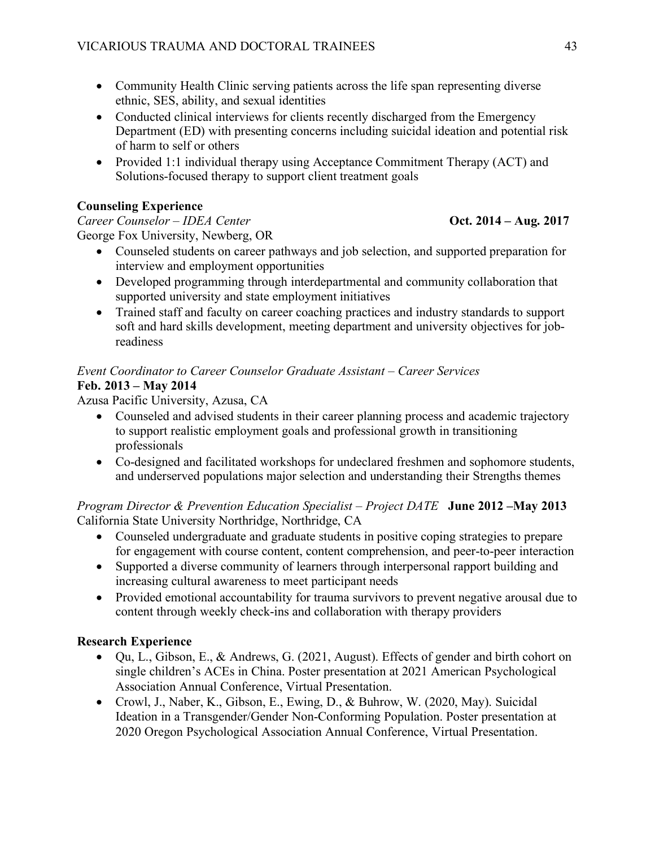- Community Health Clinic serving patients across the life span representing diverse ethnic, SES, ability, and sexual identities
- Conducted clinical interviews for clients recently discharged from the Emergency Department (ED) with presenting concerns including suicidal ideation and potential risk of harm to self or others
- Provided 1:1 individual therapy using Acceptance Commitment Therapy (ACT) and Solutions-focused therapy to support client treatment goals

## **Counseling Experience**

*Career Counselor* – *IDEA Center Career Counselor – IDEA Center Career Counselor – IDEA Center Career 2014 – Aug. 2017* George Fox University, Newberg, OR

- Counseled students on career pathways and job selection, and supported preparation for interview and employment opportunities
- Developed programming through interdepartmental and community collaboration that supported university and state employment initiatives
- Trained staff and faculty on career coaching practices and industry standards to support soft and hard skills development, meeting department and university objectives for jobreadiness

## *Event Coordinator to Career Counselor Graduate Assistant – Career Services*  **Feb. 2013 – May 2014**

Azusa Pacific University, Azusa, CA

- Counseled and advised students in their career planning process and academic trajectory to support realistic employment goals and professional growth in transitioning professionals
- Co-designed and facilitated workshops for undeclared freshmen and sophomore students, and underserved populations major selection and understanding their Strengths themes

## *Program Director & Prevention Education Specialist – Project DATE* **June 2012 –May 2013** California State University Northridge, Northridge, CA

- Counseled undergraduate and graduate students in positive coping strategies to prepare for engagement with course content, content comprehension, and peer-to-peer interaction
- Supported a diverse community of learners through interpersonal rapport building and increasing cultural awareness to meet participant needs
- Provided emotional accountability for trauma survivors to prevent negative arousal due to content through weekly check-ins and collaboration with therapy providers

## **Research Experience**

- Qu, L., Gibson, E., & Andrews, G. (2021, August). Effects of gender and birth cohort on single children's ACEs in China. Poster presentation at 2021 American Psychological Association Annual Conference, Virtual Presentation.
- Crowl, J., Naber, K., Gibson, E., Ewing, D., & Buhrow, W. (2020, May). Suicidal Ideation in a Transgender/Gender Non-Conforming Population. Poster presentation at 2020 Oregon Psychological Association Annual Conference, Virtual Presentation.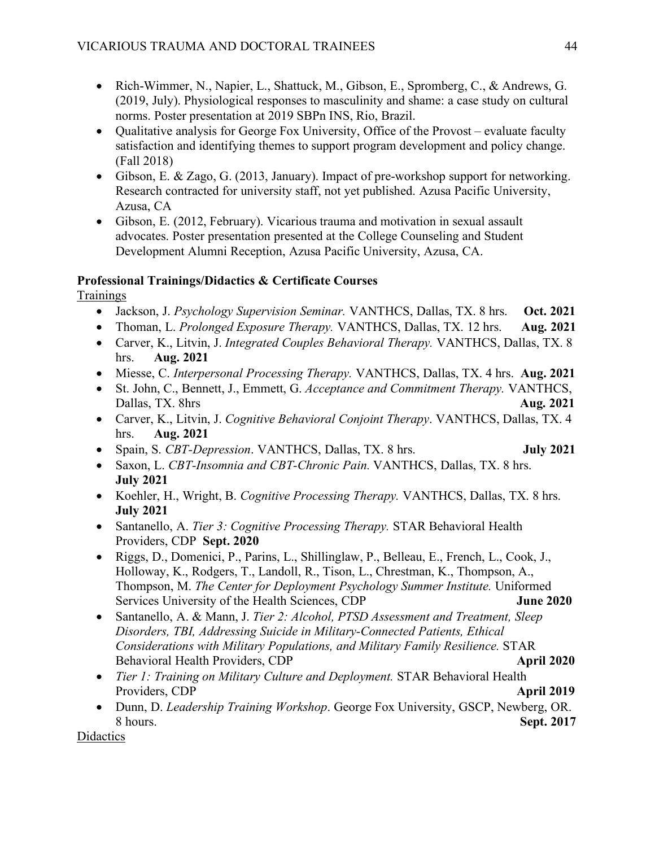- Rich-Wimmer, N., Napier, L., Shattuck, M., Gibson, E., Spromberg, C., & Andrews, G. (2019, July). Physiological responses to masculinity and shame: a case study on cultural norms. Poster presentation at 2019 SBPn INS, Rio, Brazil.
- Qualitative analysis for George Fox University, Office of the Provost evaluate faculty satisfaction and identifying themes to support program development and policy change. (Fall 2018)
- Gibson, E. & Zago, G. (2013, January). Impact of pre-workshop support for networking. Research contracted for university staff, not yet published. Azusa Pacific University, Azusa, CA
- Gibson, E. (2012, February). Vicarious trauma and motivation in sexual assault advocates. Poster presentation presented at the College Counseling and Student Development Alumni Reception, Azusa Pacific University, Azusa, CA.

## **Professional Trainings/Didactics & Certificate Courses**

**Trainings** 

- Jackson, J. *Psychology Supervision Seminar.* VANTHCS, Dallas, TX. 8 hrs. **Oct. 2021**
- Thoman, L. *Prolonged Exposure Therapy.* VANTHCS, Dallas, TX. 12 hrs. **Aug. 2021**
- Carver, K., Litvin, J. *Integrated Couples Behavioral Therapy.* VANTHCS, Dallas, TX. 8 hrs. **Aug. 2021**
- Miesse, C. *Interpersonal Processing Therapy.* VANTHCS, Dallas, TX. 4 hrs. **Aug. 2021**
- St. John, C., Bennett, J., Emmett, G. *Acceptance and Commitment Therapy.* VANTHCS, Dallas, TX. 8hrs **Aug. 2021**
- Carver, K., Litvin, J. *Cognitive Behavioral Conjoint Therapy*. VANTHCS, Dallas, TX. 4 hrs. **Aug. 2021**
- Spain, S. *CBT-Depression*. VANTHCS, Dallas, TX. 8 hrs. **July 2021**
- Saxon, L. *CBT-Insomnia and CBT-Chronic Pain.* VANTHCS, Dallas, TX. 8 hrs. **July 2021**
- Koehler, H., Wright, B. *Cognitive Processing Therapy.* VANTHCS, Dallas, TX. 8 hrs. **July 2021**
- Santanello, A. *Tier 3: Cognitive Processing Therapy.* STAR Behavioral Health Providers, CDP **Sept. 2020**
- Riggs, D., Domenici, P., Parins, L., Shillinglaw, P., Belleau, E., French, L., Cook, J., Holloway, K., Rodgers, T., Landoll, R., Tison, L., Chrestman, K., Thompson, A., Thompson, M. *The Center for Deployment Psychology Summer Institute.* Uniformed Services University of the Health Sciences, CDP **June 2020**
- Santanello, A. & Mann, J. *Tier 2: Alcohol, PTSD Assessment and Treatment, Sleep Disorders, TBI, Addressing Suicide in Military-Connected Patients, Ethical Considerations with Military Populations, and Military Family Resilience.* STAR Behavioral Health Providers, CDP **April 2020**
- *Tier 1: Training on Military Culture and Deployment.* STAR Behavioral Health Providers, CDP **April 2019**
- Dunn, D. *Leadership Training Workshop*. George Fox University, GSCP, Newberg, OR. 8 hours. **Sept. 2017**

**Didactics**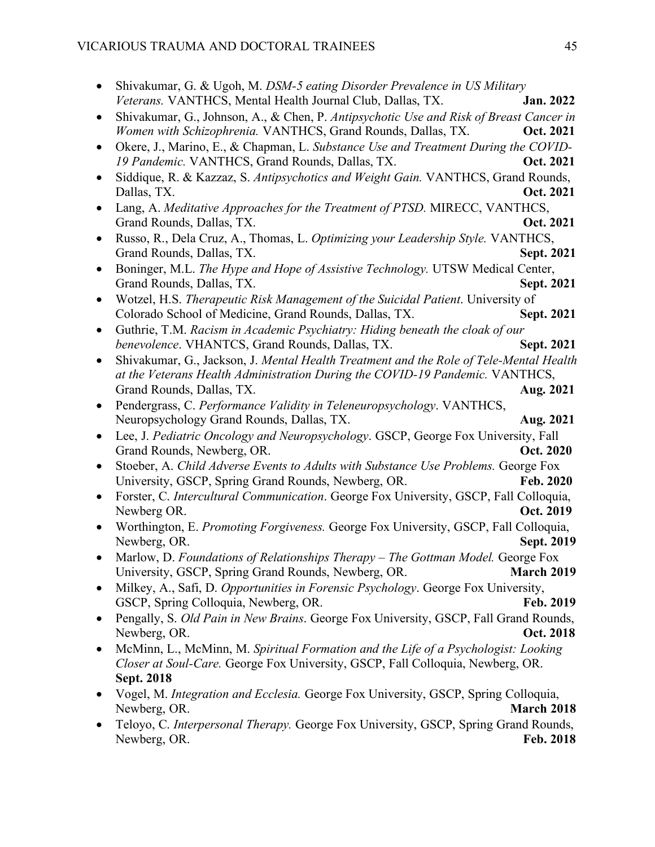|           | Shivakumar, G. & Ugoh, M. DSM-5 eating Disorder Prevalence in US Military                                                                    |                   |
|-----------|----------------------------------------------------------------------------------------------------------------------------------------------|-------------------|
|           | Veterans. VANTHCS, Mental Health Journal Club, Dallas, TX.                                                                                   | Jan. 2022         |
|           | Shivakumar, G., Johnson, A., & Chen, P. Antipsychotic Use and Risk of Breast Cancer in                                                       |                   |
|           | Women with Schizophrenia. VANTHCS, Grand Rounds, Dallas, TX.                                                                                 | Oct. 2021         |
|           | Okere, J., Marino, E., & Chapman, L. Substance Use and Treatment During the COVID-                                                           |                   |
|           | 19 Pandemic. VANTHCS, Grand Rounds, Dallas, TX.                                                                                              | Oct. 2021         |
|           | Siddique, R. & Kazzaz, S. Antipsychotics and Weight Gain. VANTHCS, Grand Rounds,                                                             |                   |
|           | Dallas, TX.                                                                                                                                  | Oct. 2021         |
|           | Lang, A. Meditative Approaches for the Treatment of PTSD. MIRECC, VANTHCS,                                                                   |                   |
|           | Grand Rounds, Dallas, TX.                                                                                                                    | Oct. 2021         |
|           | Russo, R., Dela Cruz, A., Thomas, L. Optimizing your Leadership Style. VANTHCS,                                                              | Sept. 2021        |
| $\bullet$ | Grand Rounds, Dallas, TX.<br>Boninger, M.L. The Hype and Hope of Assistive Technology. UTSW Medical Center,                                  |                   |
|           | Grand Rounds, Dallas, TX.                                                                                                                    | Sept. 2021        |
|           | Wotzel, H.S. Therapeutic Risk Management of the Suicidal Patient. University of                                                              |                   |
|           | Colorado School of Medicine, Grand Rounds, Dallas, TX.                                                                                       | Sept. 2021        |
|           | Guthrie, T.M. Racism in Academic Psychiatry: Hiding beneath the cloak of our                                                                 |                   |
|           | benevolence. VHANTCS, Grand Rounds, Dallas, TX.                                                                                              | Sept. 2021        |
|           | Shivakumar, G., Jackson, J. Mental Health Treatment and the Role of Tele-Mental Health                                                       |                   |
|           | at the Veterans Health Administration During the COVID-19 Pandemic. VANTHCS,                                                                 |                   |
|           | Grand Rounds, Dallas, TX.                                                                                                                    | Aug. 2021         |
|           | Pendergrass, C. Performance Validity in Teleneuropsychology. VANTHCS,                                                                        |                   |
|           | Neuropsychology Grand Rounds, Dallas, TX.                                                                                                    | Aug. 2021         |
|           | Lee, J. Pediatric Oncology and Neuropsychology. GSCP, George Fox University, Fall                                                            |                   |
|           | Grand Rounds, Newberg, OR.                                                                                                                   | Oct. 2020         |
|           | Stoeber, A. Child Adverse Events to Adults with Substance Use Problems. George Fox                                                           |                   |
|           | University, GSCP, Spring Grand Rounds, Newberg, OR.<br>Forster, C. Intercultural Communication. George Fox University, GSCP, Fall Colloquia, | Feb. 2020         |
|           | Newberg OR.                                                                                                                                  | Oct. 2019         |
|           | Worthington, E. Promoting Forgiveness. George Fox University, GSCP, Fall Colloquia,                                                          |                   |
|           | Newberg, OR.                                                                                                                                 | Sept. 2019        |
|           | Marlow, D. Foundations of Relationships Therapy - The Gottman Model. George Fox                                                              |                   |
|           | University, GSCP, Spring Grand Rounds, Newberg, OR.                                                                                          | <b>March 2019</b> |
|           | Milkey, A., Safi, D. Opportunities in Forensic Psychology. George Fox University,                                                            |                   |
|           | GSCP, Spring Colloquia, Newberg, OR.                                                                                                         | Feb. 2019         |
|           | Pengally, S. Old Pain in New Brains. George Fox University, GSCP, Fall Grand Rounds,                                                         |                   |
|           | Newberg, OR.                                                                                                                                 | Oct. 2018         |
|           | McMinn, L., McMinn, M. Spiritual Formation and the Life of a Psychologist: Looking                                                           |                   |
|           | Closer at Soul-Care. George Fox University, GSCP, Fall Colloquia, Newberg, OR.                                                               |                   |
|           | <b>Sept. 2018</b>                                                                                                                            |                   |
|           | Vogel, M. Integration and Ecclesia. George Fox University, GSCP, Spring Colloquia,                                                           |                   |
|           | Newberg, OR.                                                                                                                                 | <b>March 2018</b> |
|           | Teloyo, C. Interpersonal Therapy. George Fox University, GSCP, Spring Grand Rounds,                                                          |                   |
|           | Newberg, OR.                                                                                                                                 | Feb. 2018         |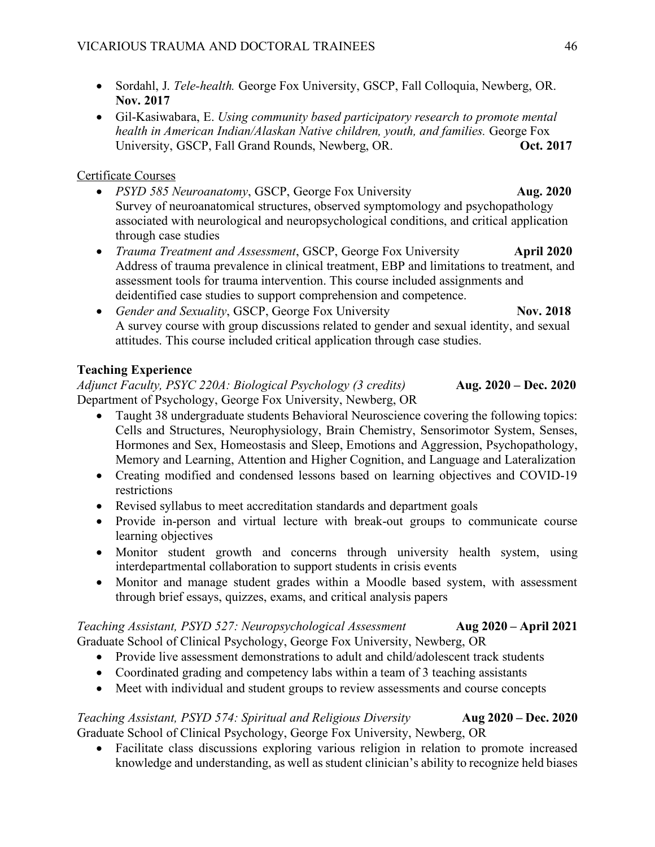- Sordahl, J. *Tele-health.* George Fox University, GSCP, Fall Colloquia, Newberg, OR. **Nov. 2017**
- Gil-Kasiwabara, E. *Using community based participatory research to promote mental health in American Indian/Alaskan Native children, youth, and families.* George Fox University, GSCP, Fall Grand Rounds, Newberg, OR. **Oct. 2017**

## Certificate Courses

- *PSYD 585 Neuroanatomy*, GSCP, George Fox University **Aug. 2020** Survey of neuroanatomical structures, observed symptomology and psychopathology associated with neurological and neuropsychological conditions, and critical application through case studies
- *Trauma Treatment and Assessment*, GSCP, George Fox University **April 2020** Address of trauma prevalence in clinical treatment, EBP and limitations to treatment, and assessment tools for trauma intervention. This course included assignments and deidentified case studies to support comprehension and competence.
- *Gender and Sexuality*, GSCP, George Fox University **Nov. 2018** A survey course with group discussions related to gender and sexual identity, and sexual attitudes. This course included critical application through case studies.

## **Teaching Experience**

*Adjunct Faculty, PSYC 220A: Biological Psychology (3 credits)* **Aug. 2020 – Dec. 2020** Department of Psychology, George Fox University, Newberg, OR

- Taught 38 undergraduate students Behavioral Neuroscience covering the following topics: Cells and Structures, Neurophysiology, Brain Chemistry, Sensorimotor System, Senses, Hormones and Sex, Homeostasis and Sleep, Emotions and Aggression, Psychopathology, Memory and Learning, Attention and Higher Cognition, and Language and Lateralization
- Creating modified and condensed lessons based on learning objectives and COVID-19 restrictions
- Revised syllabus to meet accreditation standards and department goals
- Provide in-person and virtual lecture with break-out groups to communicate course learning objectives
- Monitor student growth and concerns through university health system, using interdepartmental collaboration to support students in crisis events
- Monitor and manage student grades within a Moodle based system, with assessment through brief essays, quizzes, exams, and critical analysis papers

## *Teaching Assistant, PSYD 527: Neuropsychological Assessment* **Aug 2020 – April 2021** Graduate School of Clinical Psychology, George Fox University, Newberg, OR

- Provide live assessment demonstrations to adult and child/adolescent track students
- Coordinated grading and competency labs within a team of 3 teaching assistants
- Meet with individual and student groups to review assessments and course concepts

## *Teaching Assistant, PSYD 574: Spiritual and Religious Diversity* **Aug 2020 – Dec. 2020** Graduate School of Clinical Psychology, George Fox University, Newberg, OR

• Facilitate class discussions exploring various religion in relation to promote increased knowledge and understanding, as well as student clinician's ability to recognize held biases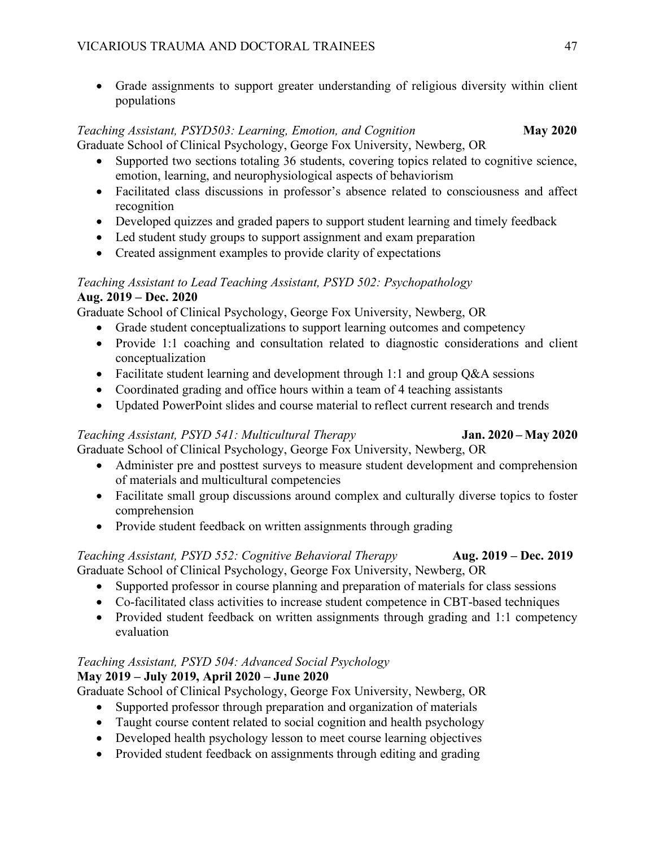• Grade assignments to support greater understanding of religious diversity within client populations

## *Teaching Assistant, PSYD503: Learning, Emotion, and Cognition May 2020* Graduate School of Clinical Psychology, George Fox University, Newberg, OR

- Supported two sections totaling 36 students, covering topics related to cognitive science, emotion, learning, and neurophysiological aspects of behaviorism
- Facilitated class discussions in professor's absence related to consciousness and affect recognition
- Developed quizzes and graded papers to support student learning and timely feedback
- Led student study groups to support assignment and exam preparation
- Created assignment examples to provide clarity of expectations

## *Teaching Assistant to Lead Teaching Assistant, PSYD 502: Psychopathology* **Aug. 2019 – Dec. 2020**

Graduate School of Clinical Psychology, George Fox University, Newberg, OR

- Grade student conceptualizations to support learning outcomes and competency
- Provide 1:1 coaching and consultation related to diagnostic considerations and client conceptualization
- Facilitate student learning and development through 1:1 and group Q&A sessions
- Coordinated grading and office hours within a team of 4 teaching assistants
- Updated PowerPoint slides and course material to reflect current research and trends

## *Teaching Assistant, PSYD 541: Multicultural Therapy* **Jan. 2020 – May 2020**

## Graduate School of Clinical Psychology, George Fox University, Newberg, OR

- Administer pre and posttest surveys to measure student development and comprehension of materials and multicultural competencies
- Facilitate small group discussions around complex and culturally diverse topics to foster comprehension
- Provide student feedback on written assignments through grading

## *Teaching Assistant, PSYD 552: Cognitive Behavioral Therapy* **Aug. 2019 – Dec. 2019** Graduate School of Clinical Psychology, George Fox University, Newberg, OR

- Supported professor in course planning and preparation of materials for class sessions
- Co-facilitated class activities to increase student competence in CBT-based techniques
- Provided student feedback on written assignments through grading and 1:1 competency evaluation

## *Teaching Assistant, PSYD 504: Advanced Social Psychology*

## **May 2019 – July 2019, April 2020 – June 2020**

Graduate School of Clinical Psychology, George Fox University, Newberg, OR

- Supported professor through preparation and organization of materials
- Taught course content related to social cognition and health psychology
- Developed health psychology lesson to meet course learning objectives
- Provided student feedback on assignments through editing and grading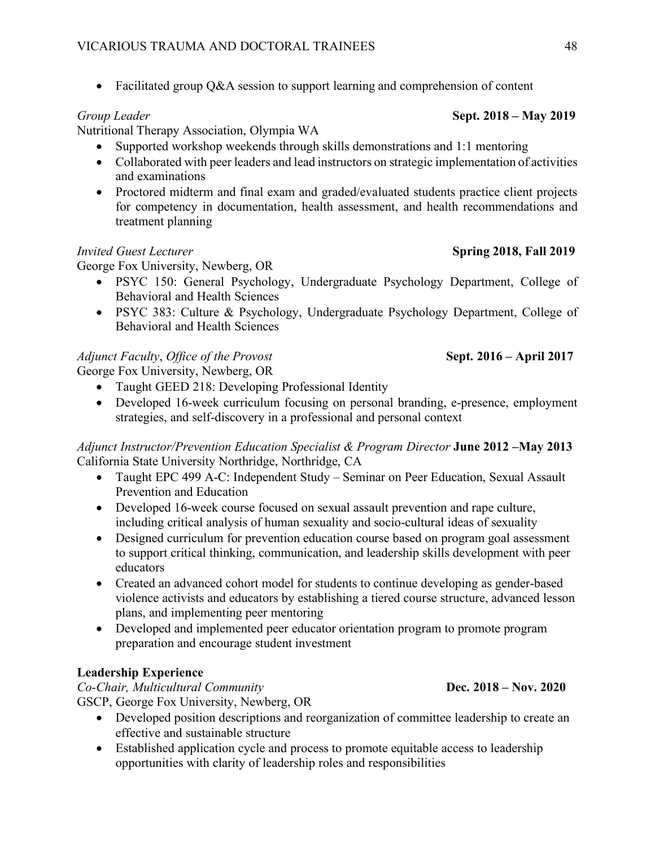• Facilitated group Q&A session to support learning and comprehension of content

## *Group Leader* **Sept. 2018 – May 2019**

## Nutritional Therapy Association, Olympia WA

- Supported workshop weekends through skills demonstrations and 1:1 mentoring
- Collaborated with peer leaders and lead instructors on strategic implementation of activities and examinations
- Proctored midterm and final exam and graded/evaluated students practice client projects for competency in documentation, health assessment, and health recommendations and treatment planning

## *Invited Guest Lecturer* **Spring 2018, Fall 2019**

George Fox University, Newberg, OR

- PSYC 150: General Psychology, Undergraduate Psychology Department, College of Behavioral and Health Sciences
- PSYC 383: Culture & Psychology, Undergraduate Psychology Department, College of Behavioral and Health Sciences

## *Adjunct Faculty*, *Office of the Provost* **Sept. 2016 – April 2017**

George Fox University, Newberg, OR

- Taught GEED 218: Developing Professional Identity
- Developed 16-week curriculum focusing on personal branding, e-presence, employment strategies, and self-discovery in a professional and personal context

*Adjunct Instructor/Prevention Education Specialist & Program Director* **June 2012 –May 2013** California State University Northridge, Northridge, CA

- Taught EPC 499 A-C: Independent Study Seminar on Peer Education, Sexual Assault Prevention and Education
- Developed 16-week course focused on sexual assault prevention and rape culture, including critical analysis of human sexuality and socio-cultural ideas of sexuality
- Designed curriculum for prevention education course based on program goal assessment to support critical thinking, communication, and leadership skills development with peer educators
- Created an advanced cohort model for students to continue developing as gender-based violence activists and educators by establishing a tiered course structure, advanced lesson plans, and implementing peer mentoring
- Developed and implemented peer educator orientation program to promote program preparation and encourage student investment

## **Leadership Experience**

*Co-Chair, Multicultural Community* **Dec. 2018 – Nov. 2020**

GSCP, George Fox University, Newberg, OR

- Developed position descriptions and reorganization of committee leadership to create an effective and sustainable structure
- Established application cycle and process to promote equitable access to leadership opportunities with clarity of leadership roles and responsibilities